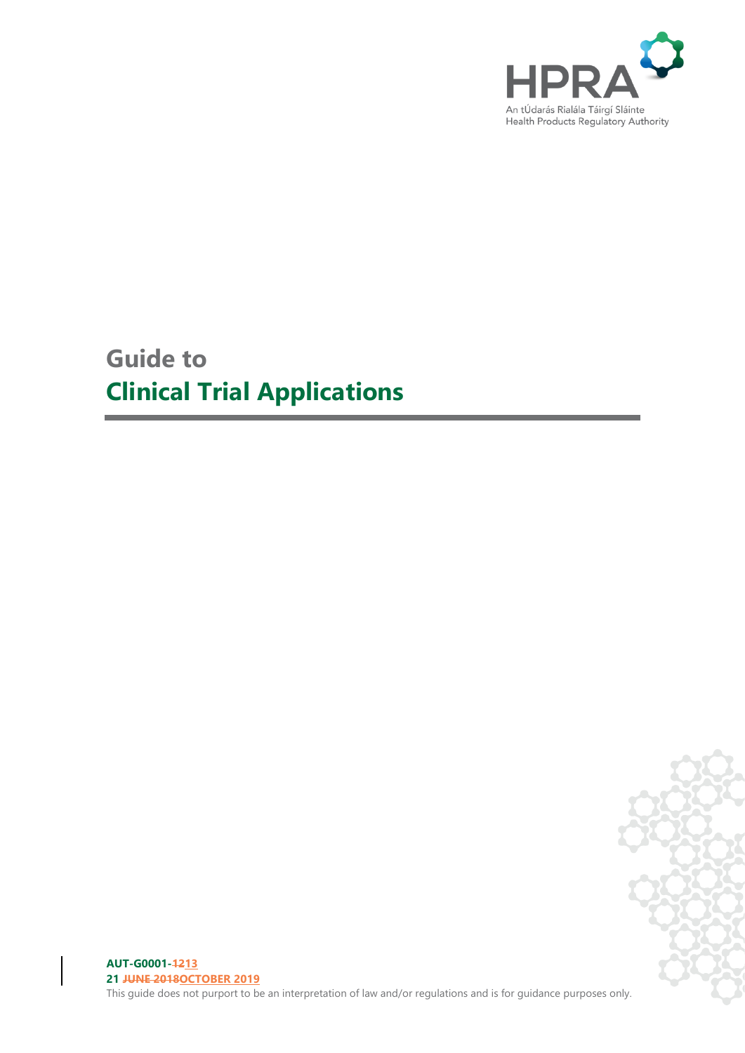

# **Guide to Clinical Trial Applications**

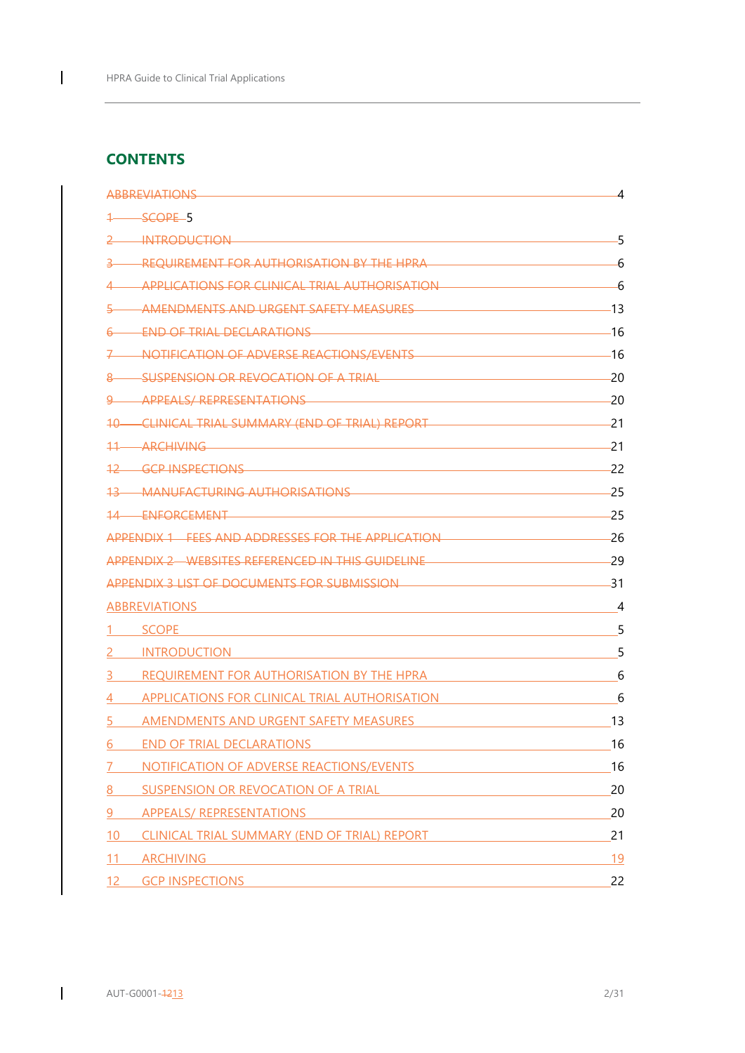## **CONTENTS**

 $\overline{\phantom{a}}$ 

|           | ABBREVIATIONS ABBREVIATIONS                                                                                                     | -4        |
|-----------|---------------------------------------------------------------------------------------------------------------------------------|-----------|
|           | 1 <del>.COPE</del> -5                                                                                                           |           |
|           | 2 <b>INTRODUCTION</b>                                                                                                           | -5        |
|           | 3 REQUIREMENT FOR AUTHORISATION BY THE HPRA                                                                                     | -6        |
|           | 4 APPLICATIONS FOR CLINICAL TRIAL AUTHORISATION 6                                                                               |           |
|           | 5 AMENDMENTS AND URGENT SAFETY MEASURES <b>And Construct Construct Construct</b> 13                                             |           |
|           | 6 END OF TRIAL DECLARATIONS <b>CONTRACTED</b> 16                                                                                |           |
|           |                                                                                                                                 |           |
|           | 8 SUSPENSION OR REVOCATION OF A TRIAL CONTRACT CONTROL 20                                                                       |           |
|           | 9 APPEALS/REPRESENTATIONS 20                                                                                                    |           |
|           | 10 CLINICAL TRIAL SUMMARY (END OF TRIAL) REPORT 21                                                                              |           |
|           | 11-ARCHIVING AND ARCHIVING                                                                                                      | $-21$     |
|           | 12 GCP INSPECTIONS 22                                                                                                           |           |
|           | 13 MANUFACTURING AUTHORISATIONS <b>CONTRACT AND THE CONTRACT OF A SET A</b> 25                                                  |           |
|           | 14 ENFORCEMENT 25                                                                                                               |           |
|           | APPENDIX 1 FEES AND ADDRESSES FOR THE APPLICATION <b>APPENDIX 1 FEES AND ADDRESSES FOR THE APPLICATION</b>                      |           |
|           | APPENDIX 2 WEBSITES REFERENCED IN THIS GUIDELINE CONTROLLERY CONTROLLERY 29                                                     |           |
|           | APPENDIX 3 LIST OF DOCUMENTS FOR SUBMISSION CONTINUES AND THE 231                                                               |           |
|           |                                                                                                                                 | 4         |
|           | 1 SCOPE 200<br>and the control of the control of the control of the control of the control of the control of the control of the | 5         |
|           | INTRODU <u>CTION</u> And the second contract of the second contract of the second contract of the second contract of the        | 5         |
|           | 3 REQUIREMENT FOR AUTHORISATION BY THE HPRA                                                                                     | 6         |
|           | APPLICATIONS FOR CLINICAL TRIAL AUTHORISATION                                                                                   | 6         |
|           | 5 AMENDMENTS AND URGENT SAFETY MEASURES                                                                                         | $\sim$ 13 |
|           | 6 END OF TRIAL DECLARATIONS                                                                                                     | 16        |
| 7         | NOTIFICATION OF ADVERSE REACTIONS/EVENTS                                                                                        | 16        |
| 8         | SUSPENSION OR REVOCATION OF A TRIAL THE SUSPENSION OR REVOCATION OF A TRIAL                                                     | 20        |
| 9         | <b>APPEALS/ REPRESENTATIONS</b>                                                                                                 | 20        |
| <u>10</u> | CLINICAL TRIAL SUMMARY (END OF TRIAL) REPORT                                                                                    | 21        |
| 11        | <b>ARCHIVING</b>                                                                                                                | <u>19</u> |
| 12        | <b>GCP INSPECTIONS</b>                                                                                                          | 22        |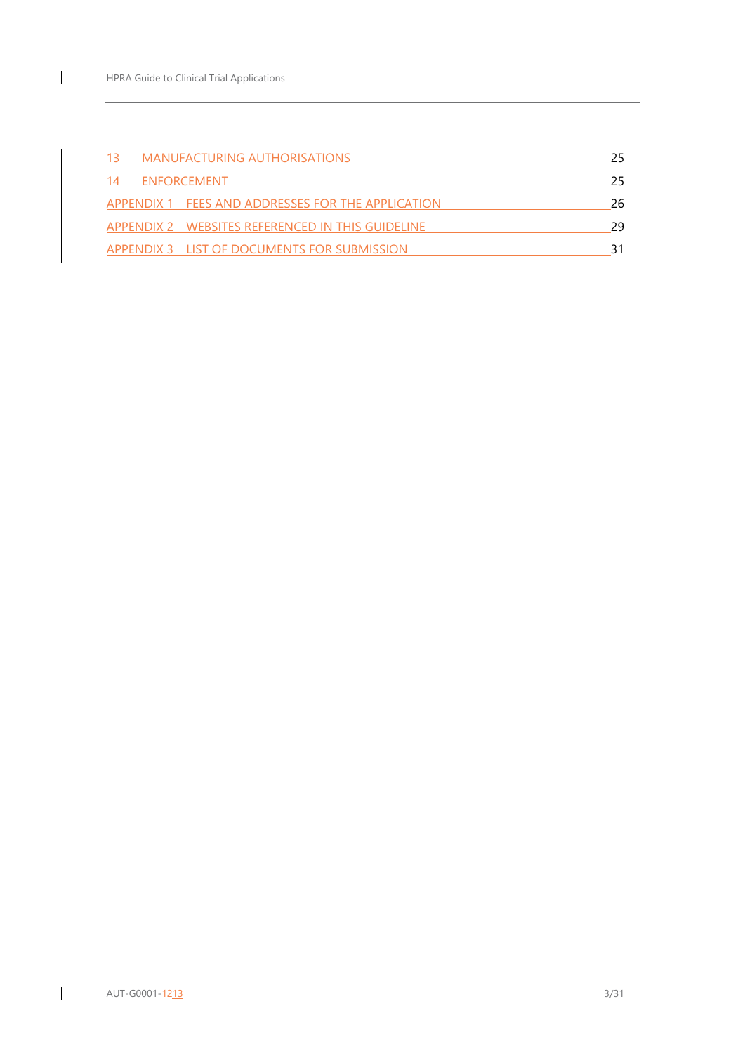$\overline{\phantom{a}}$ 

| MANUFACTURING AUTHORISATIONS<br>-13               | 25 |
|---------------------------------------------------|----|
| ENFORCEMENT<br>-14                                | 25 |
| APPENDIX 1 FEES AND ADDRESSES FOR THE APPLICATION | 26 |
| APPENDIX 2 WEBSITES REFERENCED IN THIS GUIDELINE  | 29 |
| APPENDIX 3 LIST OF DOCUMENTS FOR SUBMISSION       |    |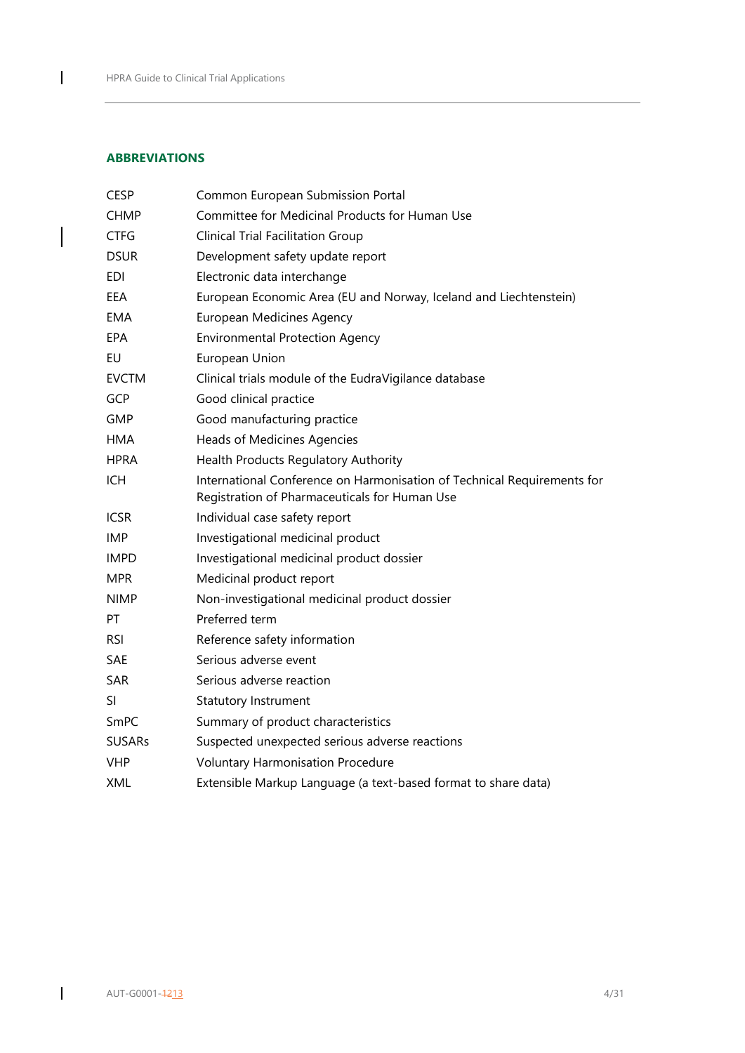## <span id="page-3-0"></span>**ABBREVIATIONS**

 $\overline{\phantom{a}}$ 

| <b>CESP</b>   | Common European Submission Portal                                                                                        |
|---------------|--------------------------------------------------------------------------------------------------------------------------|
| <b>CHMP</b>   | Committee for Medicinal Products for Human Use                                                                           |
| <b>CTFG</b>   | <b>Clinical Trial Facilitation Group</b>                                                                                 |
| <b>DSUR</b>   | Development safety update report                                                                                         |
| EDI           | Electronic data interchange                                                                                              |
| EEA           | European Economic Area (EU and Norway, Iceland and Liechtenstein)                                                        |
| <b>EMA</b>    | European Medicines Agency                                                                                                |
| EPA           | <b>Environmental Protection Agency</b>                                                                                   |
| EU            | European Union                                                                                                           |
| <b>EVCTM</b>  | Clinical trials module of the EudraVigilance database                                                                    |
| <b>GCP</b>    | Good clinical practice                                                                                                   |
| <b>GMP</b>    | Good manufacturing practice                                                                                              |
| <b>HMA</b>    | <b>Heads of Medicines Agencies</b>                                                                                       |
| <b>HPRA</b>   | Health Products Regulatory Authority                                                                                     |
| <b>ICH</b>    | International Conference on Harmonisation of Technical Requirements for<br>Registration of Pharmaceuticals for Human Use |
| <b>ICSR</b>   | Individual case safety report                                                                                            |
| <b>IMP</b>    | Investigational medicinal product                                                                                        |
| <b>IMPD</b>   | Investigational medicinal product dossier                                                                                |
| <b>MPR</b>    | Medicinal product report                                                                                                 |
| <b>NIMP</b>   | Non-investigational medicinal product dossier                                                                            |
| PT            | Preferred term                                                                                                           |
| <b>RSI</b>    | Reference safety information                                                                                             |
| SAE           | Serious adverse event                                                                                                    |
| <b>SAR</b>    | Serious adverse reaction                                                                                                 |
| SI            | Statutory Instrument                                                                                                     |
| SmPC          | Summary of product characteristics                                                                                       |
| <b>SUSARs</b> | Suspected unexpected serious adverse reactions                                                                           |
| <b>VHP</b>    | <b>Voluntary Harmonisation Procedure</b>                                                                                 |
| XML           | Extensible Markup Language (a text-based format to share data)                                                           |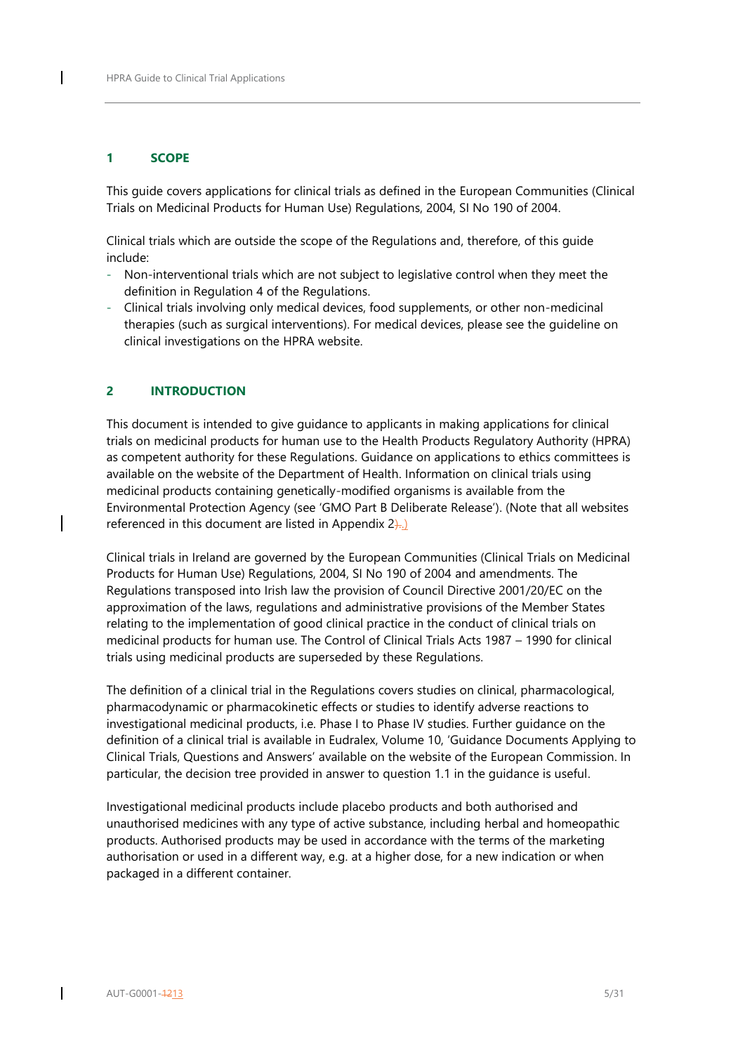## <span id="page-4-0"></span>**1 SCOPE**

This guide covers applications for clinical trials as defined in the European Communities (Clinical Trials on Medicinal Products for Human Use) Regulations, 2004, SI No 190 of 2004.

Clinical trials which are outside the scope of the Regulations and, therefore, of this guide include:

- Non-interventional trials which are not subject to legislative control when they meet the definition in Regulation 4 of the Regulations.
- Clinical trials involving only medical devices, food supplements, or other non-medicinal therapies (such as surgical interventions). For medical devices, please see the guideline on clinical investigations on the HPRA website.

## <span id="page-4-1"></span>**2 INTRODUCTION**

This document is intended to give guidance to applicants in making applications for clinical trials on medicinal products for human use to the Health Products Regulatory Authority (HPRA) as competent authority for these Regulations. Guidance on applications to ethics committees is available on the website of the Department of Health. Information on clinical trials using medicinal products containing genetically-modified organisms is available from the Environmental Protection Agency (see 'GMO Part B Deliberate Release'). (Note that all websites referenced in this document are listed in Appendix  $2, \underline{?}$ .

Clinical trials in Ireland are governed by the European Communities (Clinical Trials on Medicinal Products for Human Use) Regulations, 2004, SI No 190 of 2004 and amendments. The Regulations transposed into Irish law the provision of Council Directive 2001/20/EC on the approximation of the laws, regulations and administrative provisions of the Member States relating to the implementation of good clinical practice in the conduct of clinical trials on medicinal products for human use. The Control of Clinical Trials Acts 1987 – 1990 for clinical trials using medicinal products are superseded by these Regulations.

The definition of a clinical trial in the Regulations covers studies on clinical, pharmacological, pharmacodynamic or pharmacokinetic effects or studies to identify adverse reactions to investigational medicinal products, i.e. Phase I to Phase IV studies. Further guidance on the definition of a clinical trial is available in Eudralex, Volume 10, 'Guidance Documents Applying to Clinical Trials, Questions and Answers' available on the website of the European Commission. In particular, the decision tree provided in answer to question 1.1 in the guidance is useful.

Investigational medicinal products include placebo products and both authorised and unauthorised medicines with any type of active substance, including herbal and homeopathic products. Authorised products may be used in accordance with the terms of the marketing authorisation or used in a different way, e.g. at a higher dose, for a new indication or when packaged in a different container.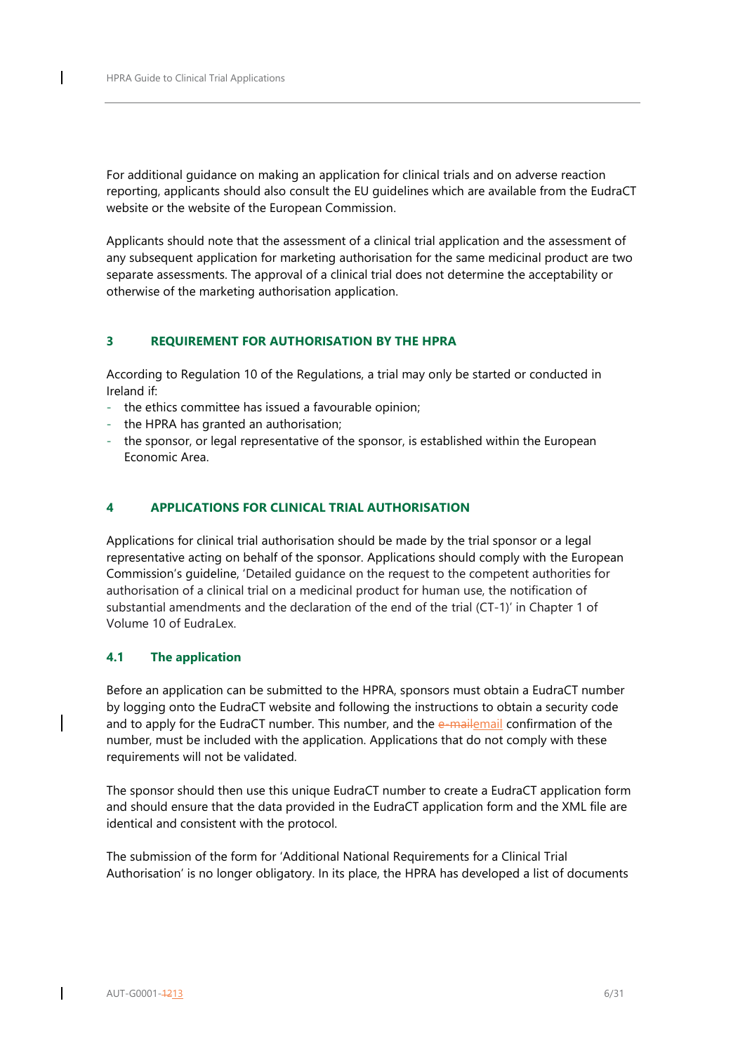For additional guidance on making an application for clinical trials and on adverse reaction reporting, applicants should also consult the EU guidelines which are available from the EudraCT website or the website of the European Commission.

Applicants should note that the assessment of a clinical trial application and the assessment of any subsequent application for marketing authorisation for the same medicinal product are two separate assessments. The approval of a clinical trial does not determine the acceptability or otherwise of the marketing authorisation application.

## <span id="page-5-0"></span>**3 REQUIREMENT FOR AUTHORISATION BY THE HPRA**

According to Regulation 10 of the Regulations, a trial may only be started or conducted in Ireland if:

- the ethics committee has issued a favourable opinion;
- the HPRA has granted an authorisation;
- the sponsor, or legal representative of the sponsor, is established within the European Economic Area.

## <span id="page-5-1"></span>**4 APPLICATIONS FOR CLINICAL TRIAL AUTHORISATION**

Applications for clinical trial authorisation should be made by the trial sponsor or a legal representative acting on behalf of the sponsor. Applications should comply with the European Commission's guideline, 'Detailed guidance on the request to the competent authorities for authorisation of a clinical trial on a medicinal product for human use, the notification of substantial amendments and the declaration of the end of the trial (CT-1)' in Chapter 1 of Volume 10 of EudraLex.

## **4.1 The application**

Before an application can be submitted to the HPRA, sponsors must obtain a EudraCT number by logging onto the EudraCT website and following the instructions to obtain a security code and to apply for the EudraCT number. This number, and the e-mailemail confirmation of the number, must be included with the application. Applications that do not comply with these requirements will not be validated.

The sponsor should then use this unique EudraCT number to create a EudraCT application form and should ensure that the data provided in the EudraCT application form and the XML file are identical and consistent with the protocol.

The submission of the form for 'Additional National Requirements for a Clinical Trial Authorisation' is no longer obligatory. In its place, the HPRA has developed a list of documents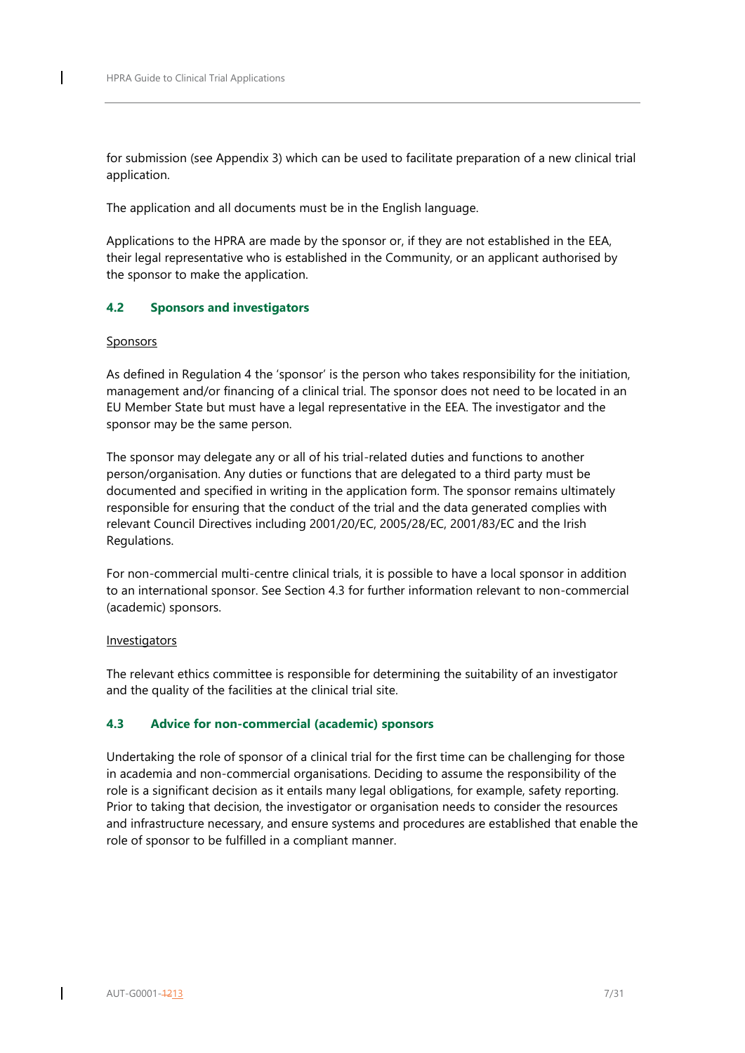for submission (see Appendix 3) which can be used to facilitate preparation of a new clinical trial application.

The application and all documents must be in the English language.

Applications to the HPRA are made by the sponsor or, if they are not established in the EEA, their legal representative who is established in the Community, or an applicant authorised by the sponsor to make the application.

## **4.2 Sponsors and investigators**

#### **Sponsors**

As defined in Regulation 4 the 'sponsor' is the person who takes responsibility for the initiation, management and/or financing of a clinical trial. The sponsor does not need to be located in an EU Member State but must have a legal representative in the EEA. The investigator and the sponsor may be the same person.

The sponsor may delegate any or all of his trial-related duties and functions to another person/organisation. Any duties or functions that are delegated to a third party must be documented and specified in writing in the application form. The sponsor remains ultimately responsible for ensuring that the conduct of the trial and the data generated complies with relevant Council Directives including 2001/20/EC, 2005/28/EC, 2001/83/EC and the Irish Regulations.

For non-commercial multi-centre clinical trials, it is possible to have a local sponsor in addition to an international sponsor. See Section 4.3 for further information relevant to non-commercial (academic) sponsors.

#### Investigators

The relevant ethics committee is responsible for determining the suitability of an investigator and the quality of the facilities at the clinical trial site.

## **4.3 Advice for non-commercial (academic) sponsors**

Undertaking the role of sponsor of a clinical trial for the first time can be challenging for those in academia and non-commercial organisations. Deciding to assume the responsibility of the role is a significant decision as it entails many legal obligations, for example, safety reporting. Prior to taking that decision, the investigator or organisation needs to consider the resources and infrastructure necessary, and ensure systems and procedures are established that enable the role of sponsor to be fulfilled in a compliant manner.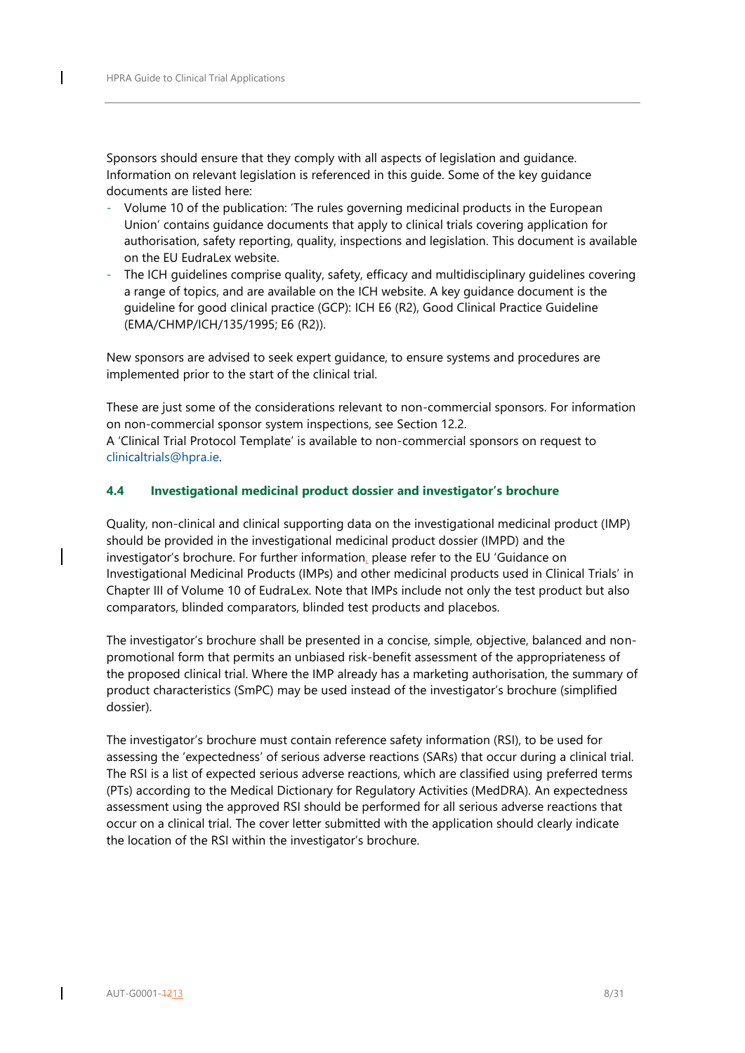Sponsors should ensure that they comply with all aspects of legislation and guidance. Information on relevant legislation is referenced in this guide. Some of the key guidance documents are listed here:

- Volume 10 of the publication: 'The rules governing medicinal products in the European Union' contains guidance documents that apply to clinical trials covering application for authorisation, safety reporting, quality, inspections and legislation. This document is available on the EU EudraLex website.
- The ICH guidelines comprise quality, safety, efficacy and multidisciplinary guidelines covering a range of topics, and are available on the ICH website. A key guidance document is the guideline for good clinical practice (GCP): ICH E6 (R2), Good Clinical Practice Guideline (EMA/CHMP/ICH/135/1995; E6 (R2)).

New sponsors are advised to seek expert guidance, to ensure systems and procedures are implemented prior to the start of the clinical trial.

These are just some of the considerations relevant to non-commercial sponsors. For information on non-commercial sponsor system inspections, see Section 12.2.

A 'Clinical Trial Protocol Template' is available to non-commercial sponsors on request to [clinicaltrials@hpra.ie.](mailto:clinicaltrials@hpra.ie)

#### **4.4 Investigational medicinal product dossier and investigator's brochure**

Quality, non-clinical and clinical supporting data on the investigational medicinal product (IMP) should be provided in the investigational medicinal product dossier (IMPD) and the investigator's brochure. For further information, please refer to the EU 'Guidance on Investigational Medicinal Products (IMPs) and other medicinal products used in Clinical Trials' in Chapter III of Volume 10 of EudraLex. Note that IMPs include not only the test product but also comparators, blinded comparators, blinded test products and placebos.

The investigator's brochure shall be presented in a concise, simple, objective, balanced and nonpromotional form that permits an unbiased risk-benefit assessment of the appropriateness of the proposed clinical trial. Where the IMP already has a marketing authorisation, the summary of product characteristics (SmPC) may be used instead of the investigator's brochure (simplified dossier).

The investigator's brochure must contain reference safety information (RSI), to be used for assessing the 'expectedness' of serious adverse reactions (SARs) that occur during a clinical trial. The RSI is a list of expected serious adverse reactions, which are classified using preferred terms (PTs) according to the Medical Dictionary for Regulatory Activities (MedDRA). An expectedness assessment using the approved RSI should be performed for all serious adverse reactions that occur on a clinical trial. The cover letter submitted with the application should clearly indicate the location of the RSI within the investigator's brochure.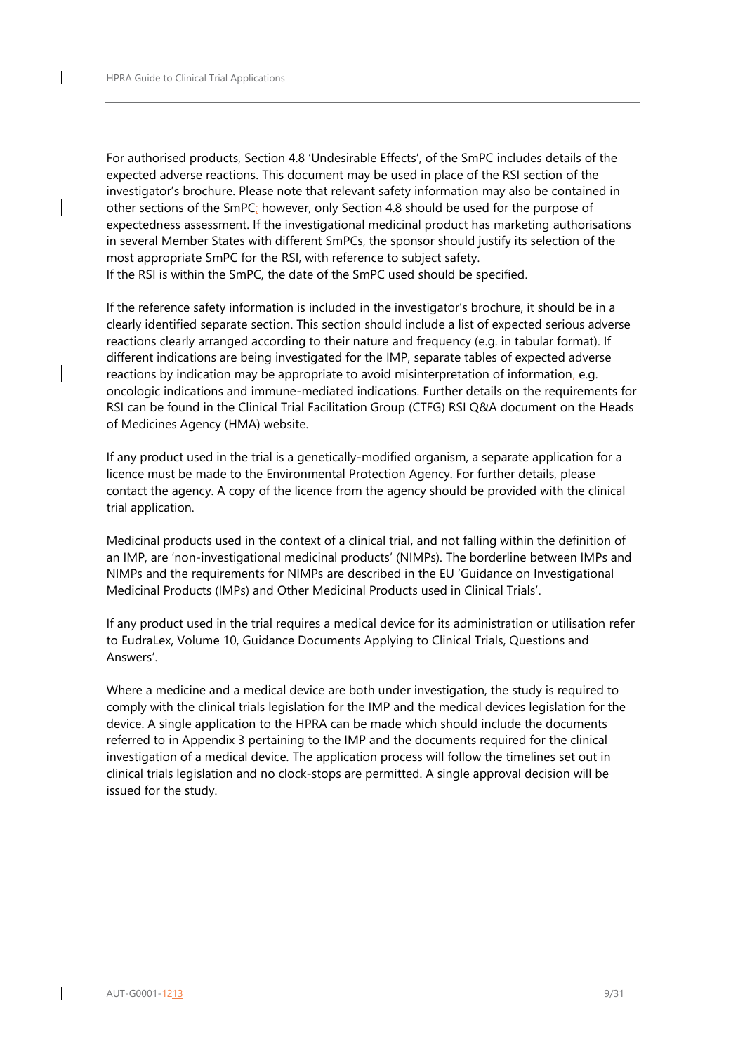For authorised products, Section 4.8 'Undesirable Effects', of the SmPC includes details of the expected adverse reactions. This document may be used in place of the RSI section of the investigator's brochure. Please note that relevant safety information may also be contained in other sections of the SmPC; however, only Section 4.8 should be used for the purpose of expectedness assessment. If the investigational medicinal product has marketing authorisations in several Member States with different SmPCs, the sponsor should justify its selection of the most appropriate SmPC for the RSI, with reference to subject safety. If the RSI is within the SmPC, the date of the SmPC used should be specified.

If the reference safety information is included in the investigator's brochure, it should be in a clearly identified separate section. This section should include a list of expected serious adverse reactions clearly arranged according to their nature and frequency (e.g. in tabular format). If different indications are being investigated for the IMP, separate tables of expected adverse reactions by indication may be appropriate to avoid misinterpretation of information, e.g. oncologic indications and immune-mediated indications. Further details on the requirements for RSI can be found in the Clinical Trial Facilitation Group (CTFG) RSI Q&A document on the Heads of Medicines Agency (HMA) website.

If any product used in the trial is a genetically-modified organism, a separate application for a licence must be made to the Environmental Protection Agency. For further details, please contact the agency. A copy of the licence from the agency should be provided with the clinical trial application.

Medicinal products used in the context of a clinical trial, and not falling within the definition of an IMP, are 'non-investigational medicinal products' (NIMPs). The borderline between IMPs and NIMPs and the requirements for NIMPs are described in the EU 'Guidance on Investigational Medicinal Products (IMPs) and Other Medicinal Products used in Clinical Trials'.

If any product used in the trial requires a medical device for its administration or utilisation refer to EudraLex, Volume 10, Guidance Documents Applying to Clinical Trials, Questions and Answers'.

Where a medicine and a medical device are both under investigation, the study is required to comply with the clinical trials legislation for the IMP and the medical devices legislation for the device. A single application to the HPRA can be made which should include the documents referred to in Appendix 3 pertaining to the IMP and the documents required for the clinical investigation of a medical device. The application process will follow the timelines set out in clinical trials legislation and no clock-stops are permitted. A single approval decision will be issued for the study.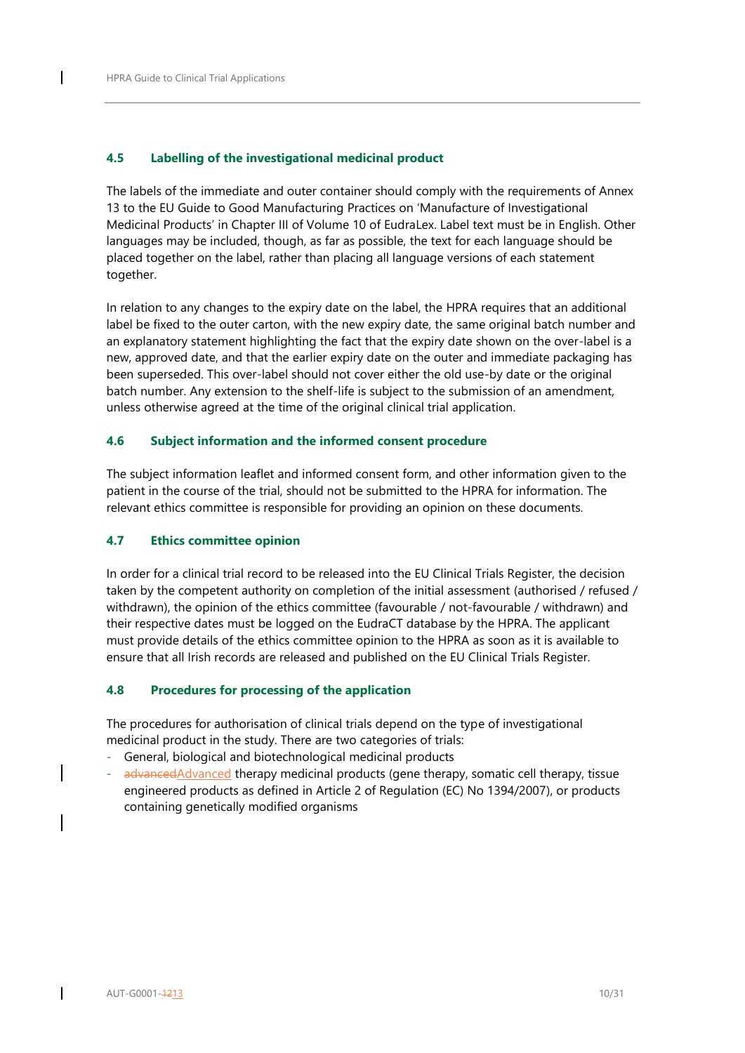## **4.5 Labelling of the investigational medicinal product**

The labels of the immediate and outer container should comply with the requirements of Annex 13 to the EU Guide to Good Manufacturing Practices on 'Manufacture of Investigational Medicinal Products' in Chapter III of Volume 10 of EudraLex. Label text must be in English. Other languages may be included, though, as far as possible, the text for each language should be placed together on the label, rather than placing all language versions of each statement together.

In relation to any changes to the expiry date on the label, the HPRA requires that an additional label be fixed to the outer carton, with the new expiry date, the same original batch number and an explanatory statement highlighting the fact that the expiry date shown on the over-label is a new, approved date, and that the earlier expiry date on the outer and immediate packaging has been superseded. This over-label should not cover either the old use-by date or the original batch number. Any extension to the shelf-life is subject to the submission of an amendment, unless otherwise agreed at the time of the original clinical trial application.

#### **4.6 Subject information and the informed consent procedure**

The subject information leaflet and informed consent form, and other information given to the patient in the course of the trial, should not be submitted to the HPRA for information. The relevant ethics committee is responsible for providing an opinion on these documents.

#### **4.7 Ethics committee opinion**

In order for a clinical trial record to be released into the EU Clinical Trials Register, the decision taken by the competent authority on completion of the initial assessment (authorised / refused / withdrawn), the opinion of the ethics committee (favourable / not-favourable / withdrawn) and their respective dates must be logged on the EudraCT database by the HPRA. The applicant must provide details of the ethics committee opinion to the HPRA as soon as it is available to ensure that all Irish records are released and published on the EU Clinical Trials Register.

## **4.8 Procedures for processing of the application**

The procedures for authorisation of clinical trials depend on the type of investigational medicinal product in the study. There are two categories of trials:

- General, biological and biotechnological medicinal products
- advancedAdvanced therapy medicinal products (gene therapy, somatic cell therapy, tissue engineered products as defined in Article 2 of Regulation (EC) No 1394/2007), or products containing genetically modified organisms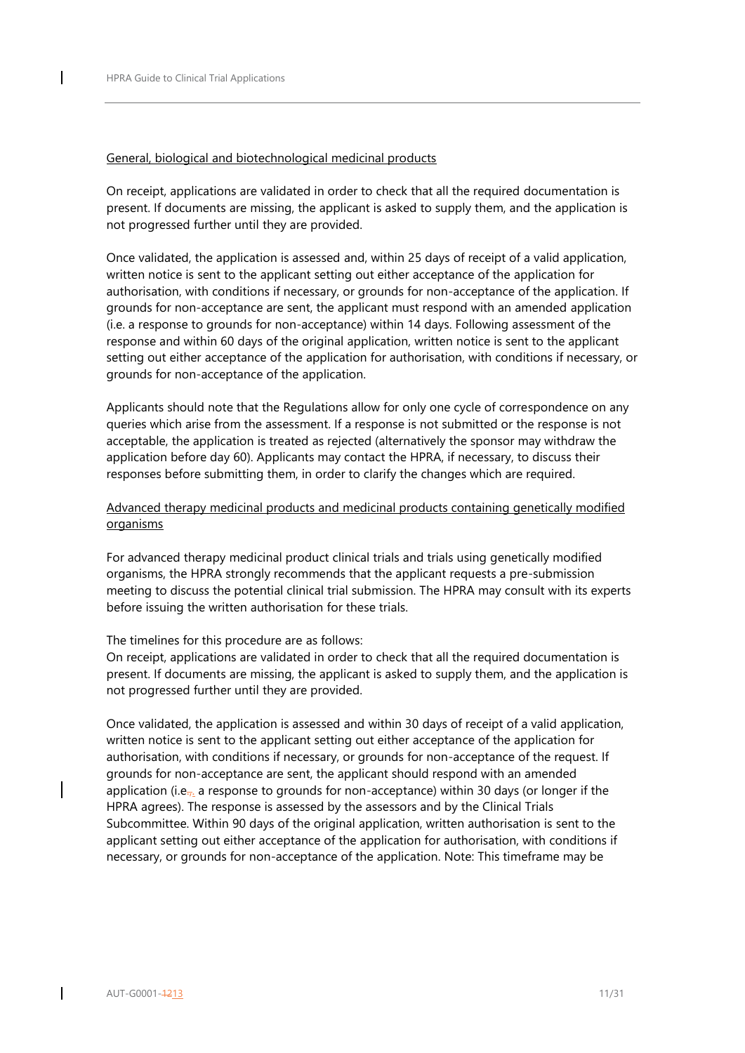#### General, biological and biotechnological medicinal products

On receipt, applications are validated in order to check that all the required documentation is present. If documents are missing, the applicant is asked to supply them, and the application is not progressed further until they are provided.

Once validated, the application is assessed and, within 25 days of receipt of a valid application, written notice is sent to the applicant setting out either acceptance of the application for authorisation, with conditions if necessary, or grounds for non-acceptance of the application. If grounds for non-acceptance are sent, the applicant must respond with an amended application (i.e. a response to grounds for non-acceptance) within 14 days. Following assessment of the response and within 60 days of the original application, written notice is sent to the applicant setting out either acceptance of the application for authorisation, with conditions if necessary, or grounds for non-acceptance of the application.

Applicants should note that the Regulations allow for only one cycle of correspondence on any queries which arise from the assessment. If a response is not submitted or the response is not acceptable, the application is treated as rejected (alternatively the sponsor may withdraw the application before day 60). Applicants may contact the HPRA, if necessary, to discuss their responses before submitting them, in order to clarify the changes which are required.

## Advanced therapy medicinal products and medicinal products containing genetically modified organisms

For advanced therapy medicinal product clinical trials and trials using genetically modified organisms, the HPRA strongly recommends that the applicant requests a pre-submission meeting to discuss the potential clinical trial submission. The HPRA may consult with its experts before issuing the written authorisation for these trials.

#### The timelines for this procedure are as follows:

On receipt, applications are validated in order to check that all the required documentation is present. If documents are missing, the applicant is asked to supply them, and the application is not progressed further until they are provided.

Once validated, the application is assessed and within 30 days of receipt of a valid application, written notice is sent to the applicant setting out either acceptance of the application for authorisation, with conditions if necessary, or grounds for non-acceptance of the request. If grounds for non-acceptance are sent, the applicant should respond with an amended application (i.e., a response to grounds for non-acceptance) within 30 days (or longer if the HPRA agrees). The response is assessed by the assessors and by the Clinical Trials Subcommittee. Within 90 days of the original application, written authorisation is sent to the applicant setting out either acceptance of the application for authorisation, with conditions if necessary, or grounds for non-acceptance of the application. Note: This timeframe may be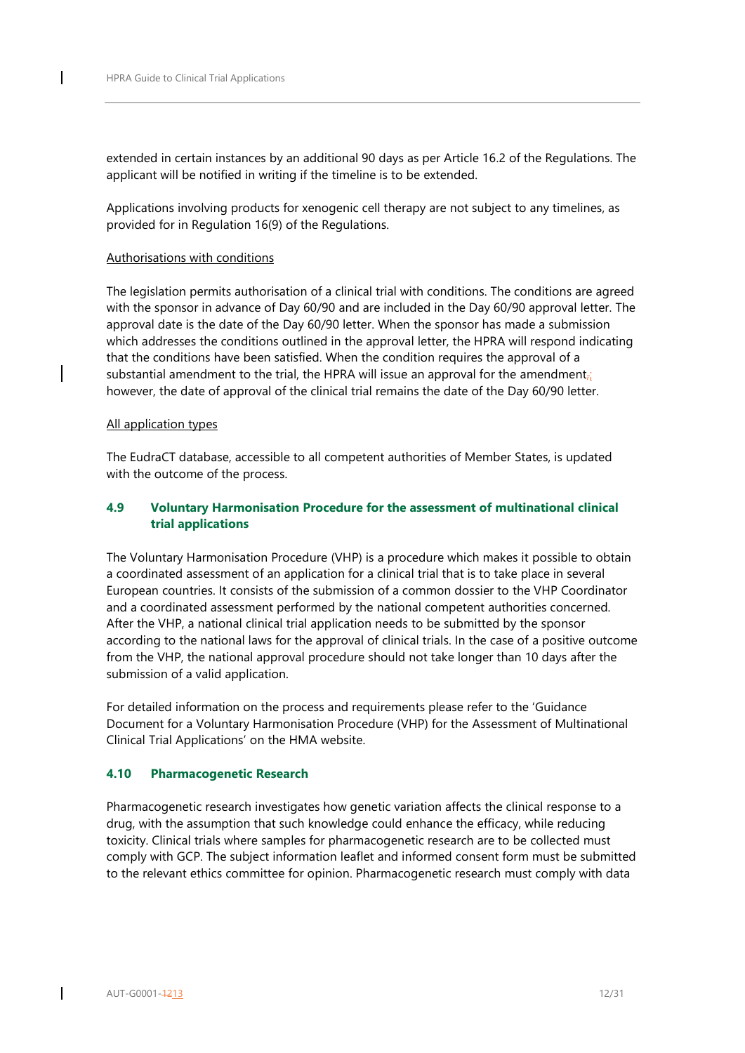extended in certain instances by an additional 90 days as per Article 16.2 of the Regulations. The applicant will be notified in writing if the timeline is to be extended.

Applications involving products for xenogenic cell therapy are not subject to any timelines, as provided for in Regulation 16(9) of the Regulations.

#### Authorisations with conditions

The legislation permits authorisation of a clinical trial with conditions. The conditions are agreed with the sponsor in advance of Day 60/90 and are included in the Day 60/90 approval letter. The approval date is the date of the Day 60/90 letter. When the sponsor has made a submission which addresses the conditions outlined in the approval letter, the HPRA will respond indicating that the conditions have been satisfied. When the condition requires the approval of a substantial amendment to the trial, the HPRA will issue an approval for the amendment<sub> $\vec{u}$ </sub> however, the date of approval of the clinical trial remains the date of the Day 60/90 letter.

#### All application types

The EudraCT database, accessible to all competent authorities of Member States, is updated with the outcome of the process.

## **4.9 Voluntary Harmonisation Procedure for the assessment of multinational clinical trial applications**

The Voluntary Harmonisation Procedure (VHP) is a procedure which makes it possible to obtain a coordinated assessment of an application for a clinical trial that is to take place in several European countries. It consists of the submission of a common dossier to the VHP Coordinator and a coordinated assessment performed by the national competent authorities concerned. After the VHP, a national clinical trial application needs to be submitted by the sponsor according to the national laws for the approval of clinical trials. In the case of a positive outcome from the VHP, the national approval procedure should not take longer than 10 days after the submission of a valid application.

For detailed information on the process and requirements please refer to the 'Guidance Document for a Voluntary Harmonisation Procedure (VHP) for the Assessment of Multinational Clinical Trial Applications' on the HMA website.

#### **4.10 Pharmacogenetic Research**

Pharmacogenetic research investigates how genetic variation affects the clinical response to a drug, with the assumption that such knowledge could enhance the efficacy, while reducing toxicity. Clinical trials where samples for pharmacogenetic research are to be collected must comply with GCP. The subject information leaflet and informed consent form must be submitted to the relevant ethics committee for opinion. Pharmacogenetic research must comply with data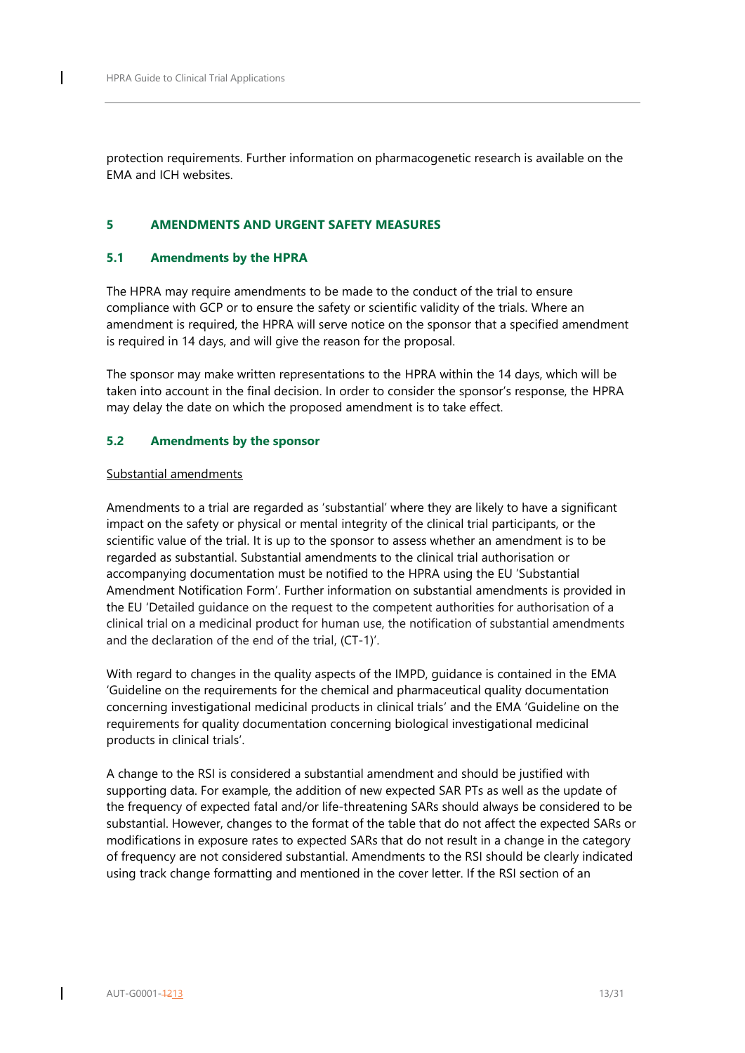protection requirements. Further information on pharmacogenetic research is available on the EMA and ICH websites.

## <span id="page-12-0"></span>**5 AMENDMENTS AND URGENT SAFETY MEASURES**

#### **5.1 Amendments by the HPRA**

The HPRA may require amendments to be made to the conduct of the trial to ensure compliance with GCP or to ensure the safety or scientific validity of the trials. Where an amendment is required, the HPRA will serve notice on the sponsor that a specified amendment is required in 14 days, and will give the reason for the proposal.

The sponsor may make written representations to the HPRA within the 14 days, which will be taken into account in the final decision. In order to consider the sponsor's response, the HPRA may delay the date on which the proposed amendment is to take effect.

#### **5.2 Amendments by the sponsor**

#### Substantial amendments

Amendments to a trial are regarded as 'substantial' where they are likely to have a significant impact on the safety or physical or mental integrity of the clinical trial participants, or the scientific value of the trial. It is up to the sponsor to assess whether an amendment is to be regarded as substantial. Substantial amendments to the clinical trial authorisation or accompanying documentation must be notified to the HPRA using the EU 'Substantial Amendment Notification Form'. Further information on substantial amendments is provided in the EU 'Detailed guidance on the request to the competent authorities for authorisation of a clinical trial on a medicinal product for human use, the notification of substantial amendments and the declaration of the end of the trial, (CT-1)'.

With regard to changes in the quality aspects of the IMPD, guidance is contained in the EMA 'Guideline on the requirements for the chemical and pharmaceutical quality documentation concerning investigational medicinal products in clinical trials' and the EMA 'Guideline on the requirements for quality documentation concerning biological investigational medicinal products in clinical trials'.

A change to the RSI is considered a substantial amendment and should be justified with supporting data. For example, the addition of new expected SAR PTs as well as the update of the frequency of expected fatal and/or life-threatening SARs should always be considered to be substantial. However, changes to the format of the table that do not affect the expected SARs or modifications in exposure rates to expected SARs that do not result in a change in the category of frequency are not considered substantial. Amendments to the RSI should be clearly indicated using track change formatting and mentioned in the cover letter. If the RSI section of an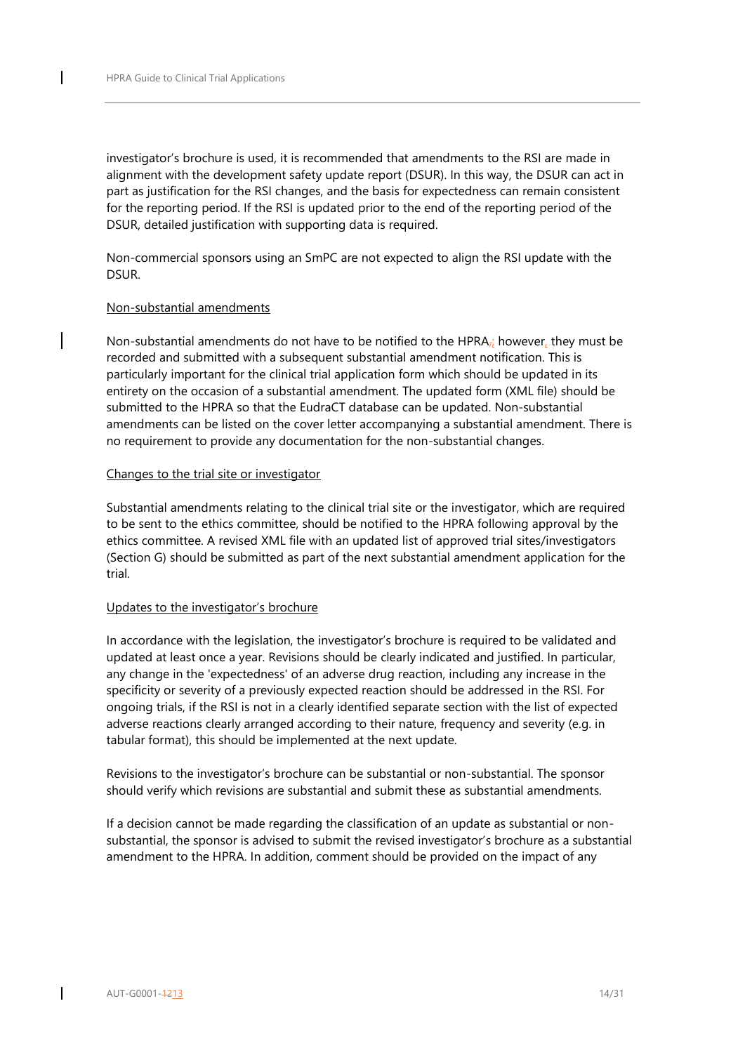investigator's brochure is used, it is recommended that amendments to the RSI are made in alignment with the development safety update report (DSUR). In this way, the DSUR can act in part as justification for the RSI changes, and the basis for expectedness can remain consistent for the reporting period. If the RSI is updated prior to the end of the reporting period of the DSUR, detailed justification with supporting data is required.

Non-commercial sponsors using an SmPC are not expected to align the RSI update with the DSUR.

#### Non-substantial amendments

Non-substantial amendments do not have to be notified to the HPRA, however, they must be recorded and submitted with a subsequent substantial amendment notification. This is particularly important for the clinical trial application form which should be updated in its entirety on the occasion of a substantial amendment. The updated form (XML file) should be submitted to the HPRA so that the EudraCT database can be updated. Non-substantial amendments can be listed on the cover letter accompanying a substantial amendment. There is no requirement to provide any documentation for the non-substantial changes.

#### Changes to the trial site or investigator

Substantial amendments relating to the clinical trial site or the investigator, which are required to be sent to the ethics committee, should be notified to the HPRA following approval by the ethics committee. A revised XML file with an updated list of approved trial sites/investigators (Section G) should be submitted as part of the next substantial amendment application for the trial.

## Updates to the investigator's brochure

In accordance with the legislation, the investigator's brochure is required to be validated and updated at least once a year. Revisions should be clearly indicated and justified. In particular, any change in the 'expectedness' of an adverse drug reaction, including any increase in the specificity or severity of a previously expected reaction should be addressed in the RSI. For ongoing trials, if the RSI is not in a clearly identified separate section with the list of expected adverse reactions clearly arranged according to their nature, frequency and severity (e.g. in tabular format), this should be implemented at the next update.

Revisions to the investigator's brochure can be substantial or non-substantial. The sponsor should verify which revisions are substantial and submit these as substantial amendments.

If a decision cannot be made regarding the classification of an update as substantial or nonsubstantial, the sponsor is advised to submit the revised investigator's brochure as a substantial amendment to the HPRA. In addition, comment should be provided on the impact of any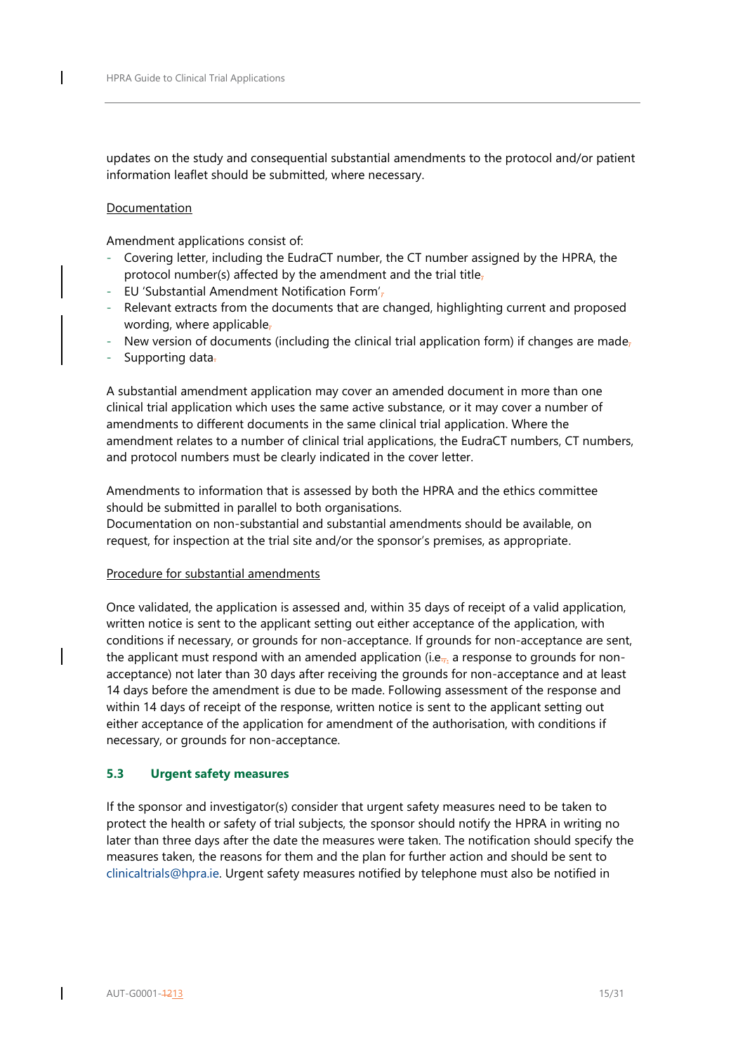updates on the study and consequential substantial amendments to the protocol and/or patient information leaflet should be submitted, where necessary.

#### Documentation

Amendment applications consist of:

- Covering letter, including the EudraCT number, the CT number assigned by the HPRA, the protocol number(s) affected by the amendment and the trial title,
- EU 'Substantial Amendment Notification Form',
- Relevant extracts from the documents that are changed, highlighting current and proposed wording, where applicable,
- New version of documents (including the clinical trial application form) if changes are made-
- Supporting data-

A substantial amendment application may cover an amended document in more than one clinical trial application which uses the same active substance, or it may cover a number of amendments to different documents in the same clinical trial application. Where the amendment relates to a number of clinical trial applications, the EudraCT numbers, CT numbers, and protocol numbers must be clearly indicated in the cover letter.

Amendments to information that is assessed by both the HPRA and the ethics committee should be submitted in parallel to both organisations.

Documentation on non-substantial and substantial amendments should be available, on request, for inspection at the trial site and/or the sponsor's premises, as appropriate.

## Procedure for substantial amendments

Once validated, the application is assessed and, within 35 days of receipt of a valid application, written notice is sent to the applicant setting out either acceptance of the application, with conditions if necessary, or grounds for non-acceptance. If grounds for non-acceptance are sent, the applicant must respond with an amended application (i.e., a response to grounds for nonacceptance) not later than 30 days after receiving the grounds for non-acceptance and at least 14 days before the amendment is due to be made. Following assessment of the response and within 14 days of receipt of the response, written notice is sent to the applicant setting out either acceptance of the application for amendment of the authorisation, with conditions if necessary, or grounds for non-acceptance.

## **5.3 Urgent safety measures**

If the sponsor and investigator(s) consider that urgent safety measures need to be taken to protect the health or safety of trial subjects, the sponsor should notify the HPRA in writing no later than three days after the date the measures were taken. The notification should specify the measures taken, the reasons for them and the plan for further action and should be sent to [clinicaltrials@hpra.ie.](mailto:clinicaltrials@hpra.ie) Urgent safety measures notified by telephone must also be notified in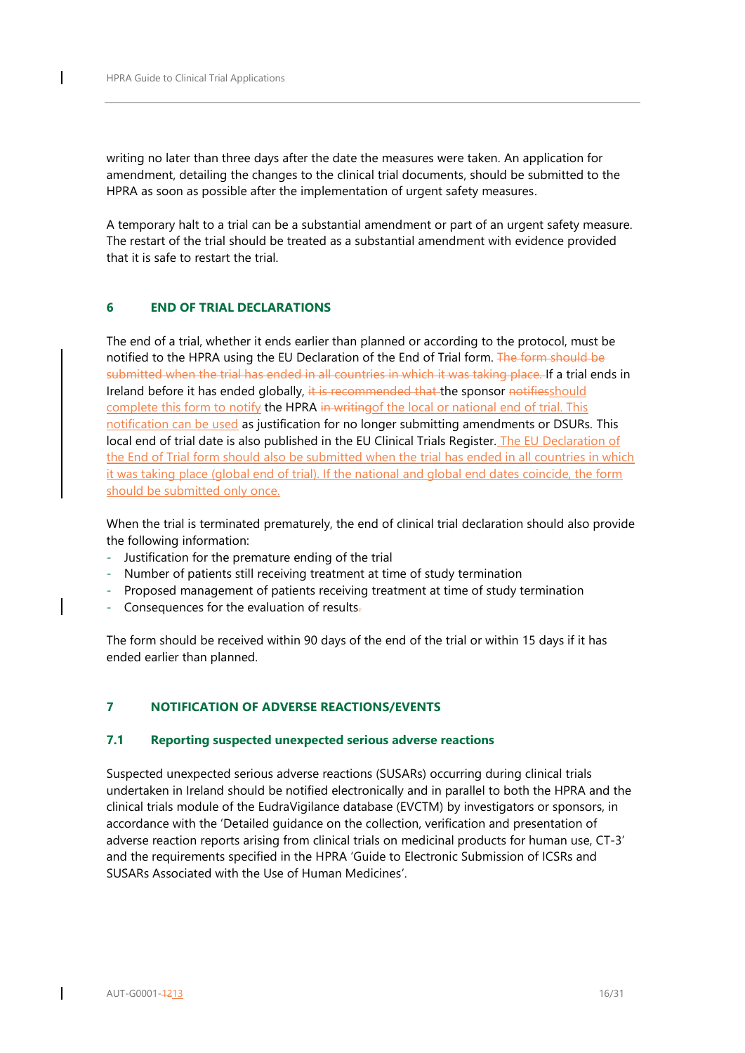writing no later than three days after the date the measures were taken. An application for amendment, detailing the changes to the clinical trial documents, should be submitted to the HPRA as soon as possible after the implementation of urgent safety measures.

A temporary halt to a trial can be a substantial amendment or part of an urgent safety measure. The restart of the trial should be treated as a substantial amendment with evidence provided that it is safe to restart the trial.

## <span id="page-15-0"></span>**6 END OF TRIAL DECLARATIONS**

The end of a trial, whether it ends earlier than planned or according to the protocol, must be notified to the HPRA using the EU Declaration of the End of Trial form. The form should be submitted when the trial has ended in all countries in which it was taking place. If a trial ends in Ireland before it has ended globally, it is recommended that the sponsor notifiesshould complete this form to notify the HPRA in writing of the local or national end of trial. This notification can be used as justification for no longer submitting amendments or DSURs. This local end of trial date is also published in the EU Clinical Trials Register. The EU Declaration of the End of Trial form should also be submitted when the trial has ended in all countries in which it was taking place (global end of trial). If the national and global end dates coincide, the form should be submitted only once.

When the trial is terminated prematurely, the end of clinical trial declaration should also provide the following information:

- Justification for the premature ending of the trial
- Number of patients still receiving treatment at time of study termination
- Proposed management of patients receiving treatment at time of study termination
- Consequences for the evaluation of results-

The form should be received within 90 days of the end of the trial or within 15 days if it has ended earlier than planned.

## <span id="page-15-1"></span>**7 NOTIFICATION OF ADVERSE REACTIONS/EVENTS**

#### **7.1 Reporting suspected unexpected serious adverse reactions**

Suspected unexpected serious adverse reactions (SUSARs) occurring during clinical trials undertaken in Ireland should be notified electronically and in parallel to both the HPRA and the clinical trials module of the EudraVigilance database (EVCTM) by investigators or sponsors, in accordance with the 'Detailed guidance on the collection, verification and presentation of adverse reaction reports arising from clinical trials on medicinal products for human use, CT-3' and the requirements specified in the HPRA 'Guide to Electronic Submission of ICSRs and SUSARs Associated with the Use of Human Medicines'.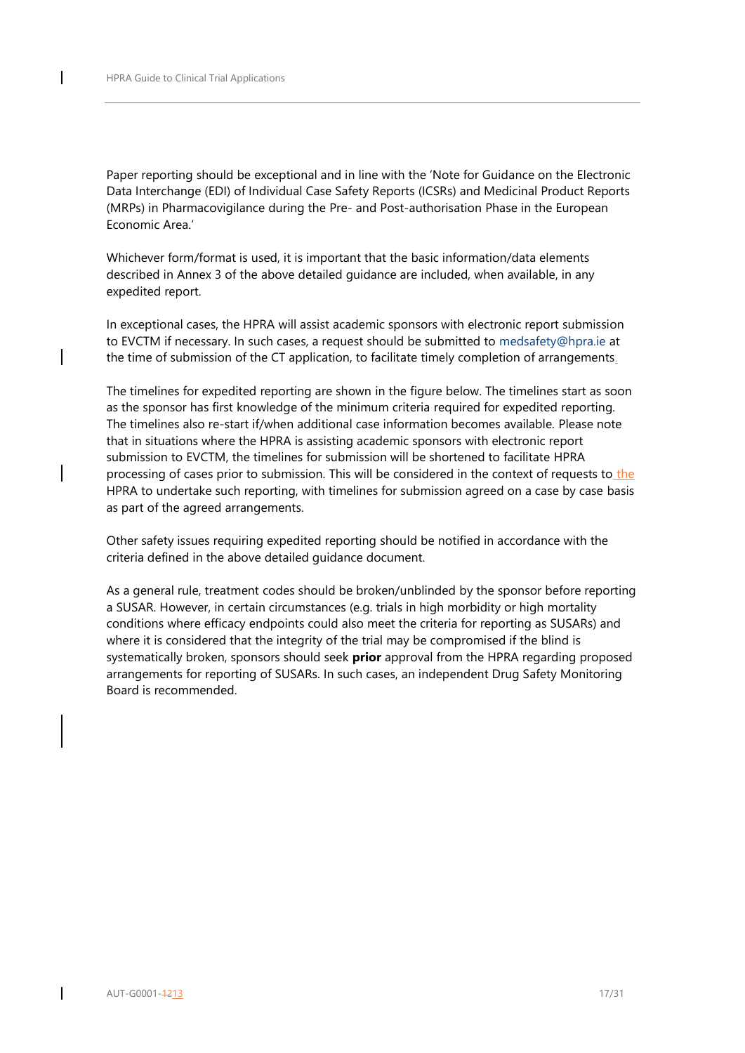Paper reporting should be exceptional and in line with the 'Note for Guidance on the Electronic Data Interchange (EDI) of Individual Case Safety Reports (ICSRs) and Medicinal Product Reports (MRPs) in Pharmacovigilance during the Pre- and Post-authorisation Phase in the European Economic Area.'

Whichever form/format is used, it is important that the basic information/data elements described in Annex 3 of the above detailed guidance are included, when available, in any expedited report.

In exceptional cases, the HPRA will assist academic sponsors with electronic report submission to EVCTM if necessary. In such cases, a request should be submitted to [medsafety@hpra.ie](file:///C:/Documents%20and%20Settings/omahonyd/Local%20Settings/Temporary%20Internet%20Files/Content.Outlook/X7ELF2HA/medsafety@hpra.ie) at the time of submission of the CT application, to facilitate timely completion of arrangements.

The timelines for expedited reporting are shown in the figure below. The timelines start as soon as the sponsor has first knowledge of the minimum criteria required for expedited reporting. The timelines also re-start if/when additional case information becomes available. Please note that in situations where the HPRA is assisting academic sponsors with electronic report submission to EVCTM, the timelines for submission will be shortened to facilitate HPRA processing of cases prior to submission. This will be considered in the context of requests to the HPRA to undertake such reporting, with timelines for submission agreed on a case by case basis as part of the agreed arrangements.

Other safety issues requiring expedited reporting should be notified in accordance with the criteria defined in the above detailed guidance document.

As a general rule, treatment codes should be broken/unblinded by the sponsor before reporting a SUSAR. However, in certain circumstances (e.g. trials in high morbidity or high mortality conditions where efficacy endpoints could also meet the criteria for reporting as SUSARs) and where it is considered that the integrity of the trial may be compromised if the blind is systematically broken, sponsors should seek **prior** approval from the HPRA regarding proposed arrangements for reporting of SUSARs. In such cases, an independent Drug Safety Monitoring Board is recommended.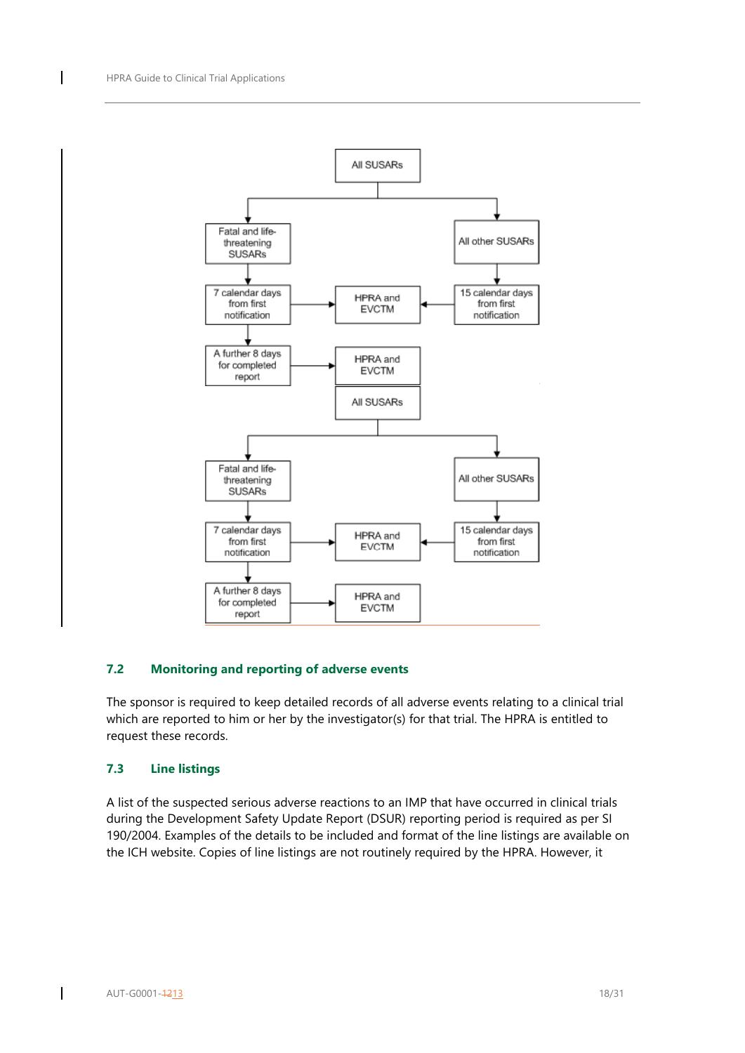

## **7.2 Monitoring and reporting of adverse events**

The sponsor is required to keep detailed records of all adverse events relating to a clinical trial which are reported to him or her by the investigator(s) for that trial. The HPRA is entitled to request these records.

#### **7.3 Line listings**

A list of the suspected serious adverse reactions to an IMP that have occurred in clinical trials during the Development Safety Update Report (DSUR) reporting period is required as per SI 190/2004. Examples of the details to be included and format of the line listings are available on the ICH website. Copies of line listings are not routinely required by the HPRA. However, it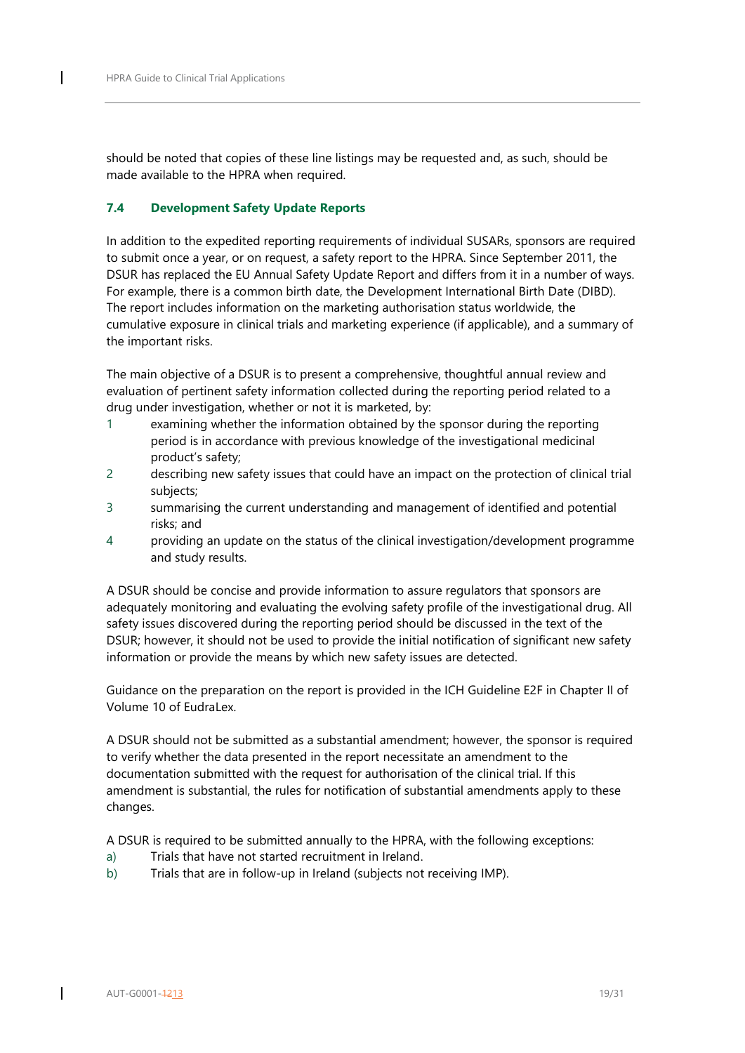should be noted that copies of these line listings may be requested and, as such, should be made available to the HPRA when required.

## **7.4 Development Safety Update Reports**

In addition to the expedited reporting requirements of individual SUSARs, sponsors are required to submit once a year, or on request, a safety report to the HPRA. Since September 2011, the DSUR has replaced the EU Annual Safety Update Report and differs from it in a number of ways. For example, there is a common birth date, the Development International Birth Date (DIBD). The report includes information on the marketing authorisation status worldwide, the cumulative exposure in clinical trials and marketing experience (if applicable), and a summary of the important risks.

The main objective of a DSUR is to present a comprehensive, thoughtful annual review and evaluation of pertinent safety information collected during the reporting period related to a drug under investigation, whether or not it is marketed, by:

- 1 examining whether the information obtained by the sponsor during the reporting period is in accordance with previous knowledge of the investigational medicinal product's safety;
- 2 describing new safety issues that could have an impact on the protection of clinical trial subjects;
- 3 summarising the current understanding and management of identified and potential risks; and
- 4 providing an update on the status of the clinical investigation/development programme and study results.

A DSUR should be concise and provide information to assure regulators that sponsors are adequately monitoring and evaluating the evolving safety profile of the investigational drug. All safety issues discovered during the reporting period should be discussed in the text of the DSUR; however, it should not be used to provide the initial notification of significant new safety information or provide the means by which new safety issues are detected.

Guidance on the preparation on the report is provided in the ICH Guideline E2F in Chapter II of Volume 10 of FudraLex.

A DSUR should not be submitted as a substantial amendment; however, the sponsor is required to verify whether the data presented in the report necessitate an amendment to the documentation submitted with the request for authorisation of the clinical trial. If this amendment is substantial, the rules for notification of substantial amendments apply to these changes.

A DSUR is required to be submitted annually to the HPRA, with the following exceptions:

- a) Trials that have not started recruitment in Ireland.
- b) Trials that are in follow-up in Ireland (subjects not receiving IMP).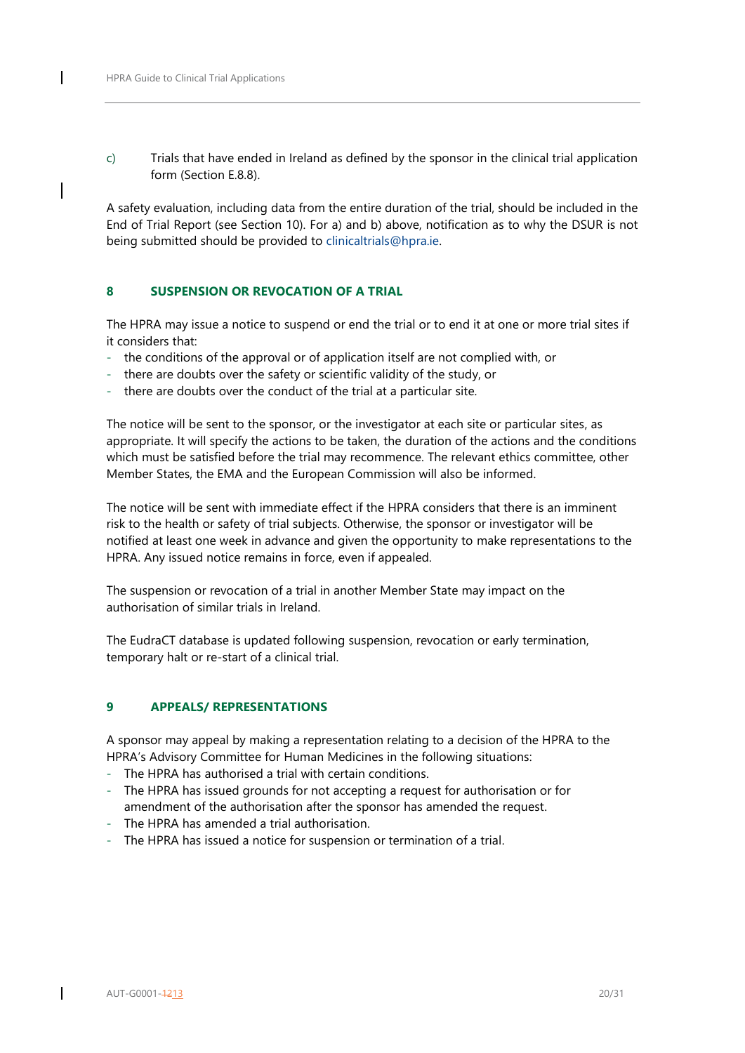c) Trials that have ended in Ireland as defined by the sponsor in the clinical trial application form (Section E.8.8).

A safety evaluation, including data from the entire duration of the trial, should be included in the End of Trial Report (see Section 10). For a) and b) above, notification as to why the DSUR is not being submitted should be provided to [clinicaltrials@hpra.ie.](mailto:clinicaltrials@hpra.ie)

## <span id="page-19-0"></span>**8 SUSPENSION OR REVOCATION OF A TRIAL**

The HPRA may issue a notice to suspend or end the trial or to end it at one or more trial sites if it considers that:

- the conditions of the approval or of application itself are not complied with, or
- there are doubts over the safety or scientific validity of the study, or
- there are doubts over the conduct of the trial at a particular site.

The notice will be sent to the sponsor, or the investigator at each site or particular sites, as appropriate. It will specify the actions to be taken, the duration of the actions and the conditions which must be satisfied before the trial may recommence. The relevant ethics committee, other Member States, the EMA and the European Commission will also be informed.

The notice will be sent with immediate effect if the HPRA considers that there is an imminent risk to the health or safety of trial subjects. Otherwise, the sponsor or investigator will be notified at least one week in advance and given the opportunity to make representations to the HPRA. Any issued notice remains in force, even if appealed.

The suspension or revocation of a trial in another Member State may impact on the authorisation of similar trials in Ireland.

The EudraCT database is updated following suspension, revocation or early termination, temporary halt or re-start of a clinical trial.

## <span id="page-19-1"></span>**9 APPEALS/ REPRESENTATIONS**

A sponsor may appeal by making a representation relating to a decision of the HPRA to the HPRA's Advisory Committee for Human Medicines in the following situations:

- The HPRA has authorised a trial with certain conditions.
- The HPRA has issued grounds for not accepting a request for authorisation or for amendment of the authorisation after the sponsor has amended the request.
- The HPRA has amended a trial authorisation.
- The HPRA has issued a notice for suspension or termination of a trial.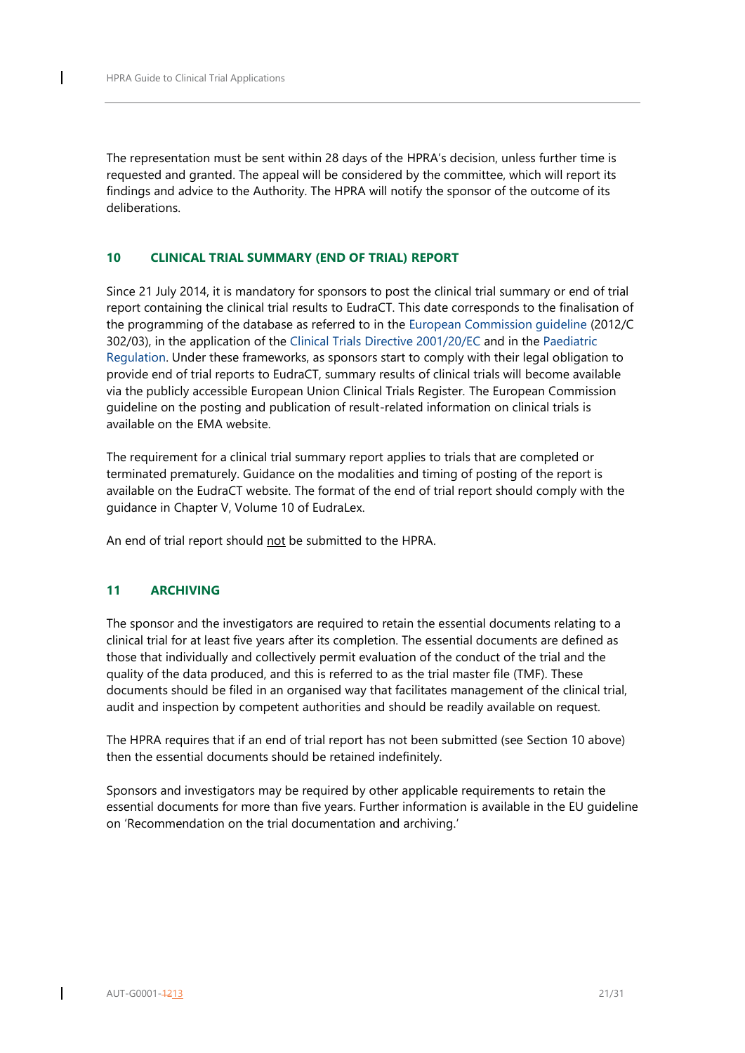The representation must be sent within 28 days of the HPRA's decision, unless further time is requested and granted. The appeal will be considered by the committee, which will report its findings and advice to the Authority. The HPRA will notify the sponsor of the outcome of its deliberations.

## <span id="page-20-0"></span>**10 CLINICAL TRIAL SUMMARY (END OF TRIAL) REPORT**

Since 21 July 2014, it is mandatory for sponsors to post the clinical trial summary or end of trial report containing the clinical trial results to EudraCT. This date corresponds to the finalisation of the programming of the database as referred to in the [European Commission guideline](http://ec.europa.eu/health/files/eudralex/vol-10/2012_302-03/2012_302-03_en.pdf) (2012/C 302/03), in the application of the [Clinical Trials Directive 2001/20/EC](http://eur-lex.europa.eu/LexUriServ/LexUriServ.do?uri=OJ:L:2001:121:0034:0044:en:PDF) and in the [Paediatric](http://www.ema.europa.eu/ema/index.jsp?curl=pages/regulation/document_listing/document_listing_000068.jsp&mid=WC0b01ac0580025b8b)  [Regulation.](http://www.ema.europa.eu/ema/index.jsp?curl=pages/regulation/document_listing/document_listing_000068.jsp&mid=WC0b01ac0580025b8b) Under these frameworks, as sponsors start to comply with their legal obligation to provide end of trial reports to EudraCT, summary results of clinical trials will become available via the publicly accessible European Union Clinical Trials Register. The European Commission guideline on the posting and publication of result-related information on clinical trials is available on the EMA website.

The requirement for a clinical trial summary report applies to trials that are completed or terminated prematurely. Guidance on the modalities and timing of posting of the report is available on the EudraCT website. The format of the end of trial report should comply with the guidance in Chapter V, Volume 10 of EudraLex.

An end of trial report should not be submitted to the HPRA.

## <span id="page-20-1"></span>**11 ARCHIVING**

The sponsor and the investigators are required to retain the essential documents relating to a clinical trial for at least five years after its completion. The essential documents are defined as those that individually and collectively permit evaluation of the conduct of the trial and the quality of the data produced, and this is referred to as the trial master file (TMF). These documents should be filed in an organised way that facilitates management of the clinical trial, audit and inspection by competent authorities and should be readily available on request.

The HPRA requires that if an end of trial report has not been submitted (see Section 10 above) then the essential documents should be retained indefinitely.

Sponsors and investigators may be required by other applicable requirements to retain the essential documents for more than five years. Further information is available in the EU guideline on 'Recommendation on the trial documentation and archiving.'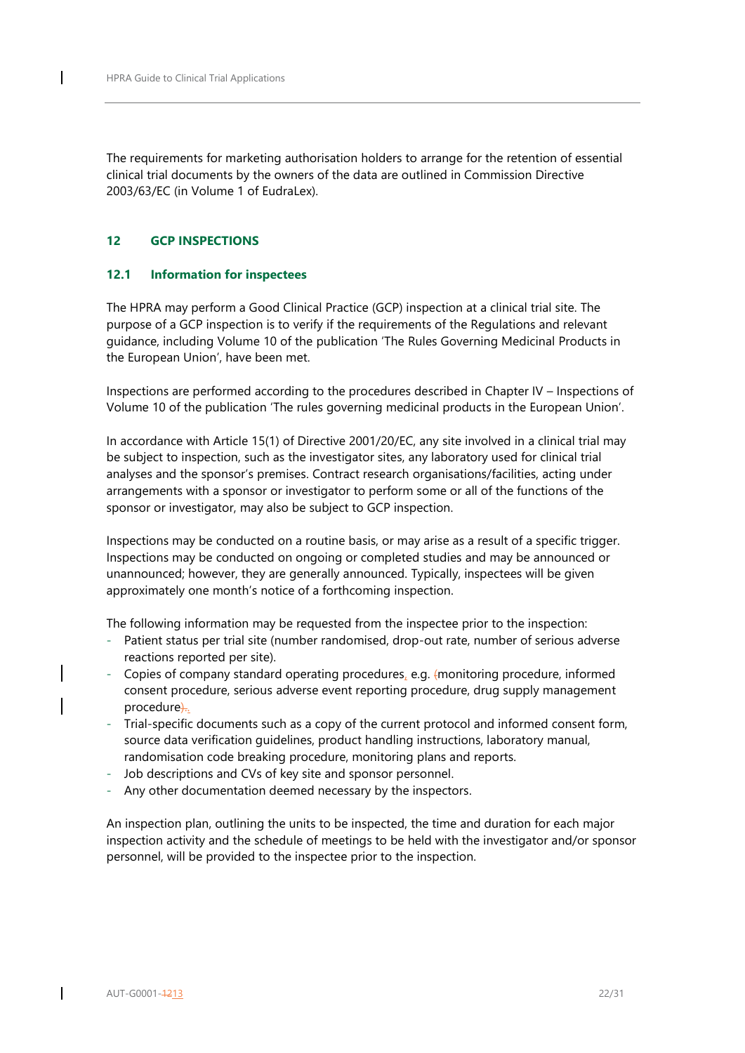The requirements for marketing authorisation holders to arrange for the retention of essential clinical trial documents by the owners of the data are outlined in Commission Directive 2003/63/EC (in Volume 1 of EudraLex).

## <span id="page-21-0"></span>**12 GCP INSPECTIONS**

## **12.1 Information for inspectees**

The HPRA may perform a Good Clinical Practice (GCP) inspection at a clinical trial site. The purpose of a GCP inspection is to verify if the requirements of the Regulations and relevant guidance, including Volume 10 of the publication 'The Rules Governing Medicinal Products in the European Union', have been met.

Inspections are performed according to the procedures described in Chapter IV – Inspections of Volume 10 of the publication 'The rules governing medicinal products in the European Union'.

In accordance with Article 15(1) of Directive 2001/20/EC, any site involved in a clinical trial may be subject to inspection, such as the investigator sites, any laboratory used for clinical trial analyses and the sponsor's premises. Contract research organisations/facilities, acting under arrangements with a sponsor or investigator to perform some or all of the functions of the sponsor or investigator, may also be subject to GCP inspection.

Inspections may be conducted on a routine basis, or may arise as a result of a specific trigger. Inspections may be conducted on ongoing or completed studies and may be announced or unannounced; however, they are generally announced. Typically, inspectees will be given approximately one month's notice of a forthcoming inspection.

The following information may be requested from the inspectee prior to the inspection:

- Patient status per trial site (number randomised, drop-out rate, number of serious adverse reactions reported per site).
- Copies of company standard operating procedures, e.g. (monitoring procedure, informed consent procedure, serious adverse event reporting procedure, drug supply management procedure<del>).</del>
- Trial-specific documents such as a copy of the current protocol and informed consent form, source data verification guidelines, product handling instructions, laboratory manual, randomisation code breaking procedure, monitoring plans and reports.
- Job descriptions and CVs of key site and sponsor personnel.
- Any other documentation deemed necessary by the inspectors.

An inspection plan, outlining the units to be inspected, the time and duration for each major inspection activity and the schedule of meetings to be held with the investigator and/or sponsor personnel, will be provided to the inspectee prior to the inspection.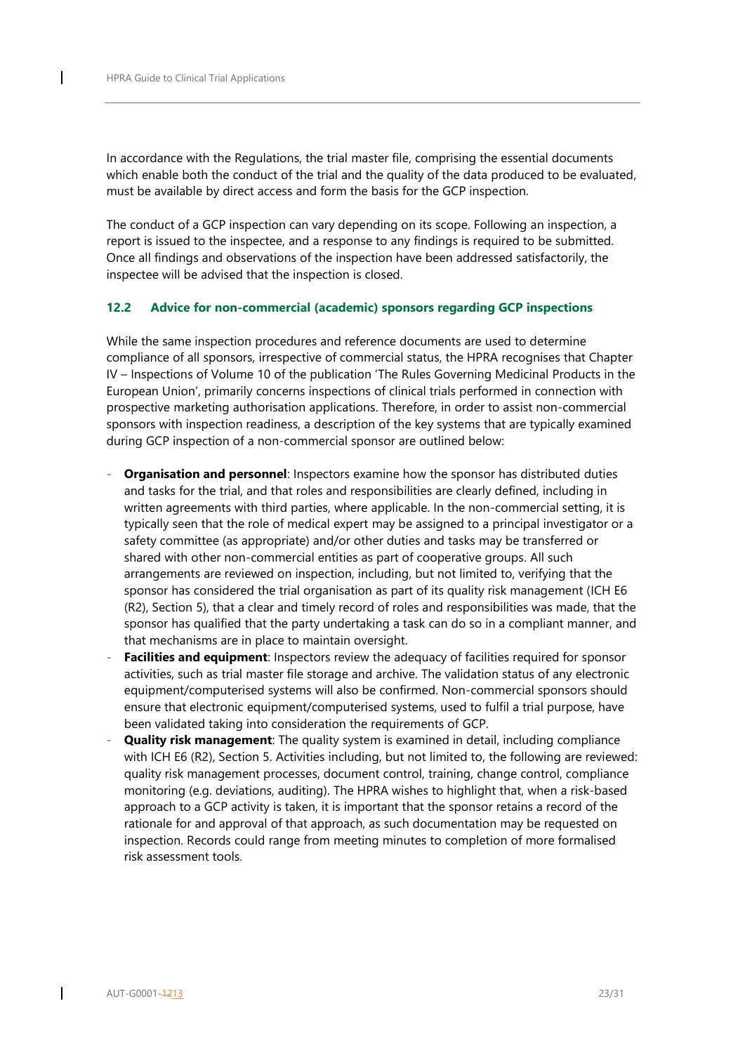In accordance with the Regulations, the trial master file, comprising the essential documents which enable both the conduct of the trial and the quality of the data produced to be evaluated, must be available by direct access and form the basis for the GCP inspection.

The conduct of a GCP inspection can vary depending on its scope. Following an inspection, a report is issued to the inspectee, and a response to any findings is required to be submitted. Once all findings and observations of the inspection have been addressed satisfactorily, the inspectee will be advised that the inspection is closed.

#### **12.2 Advice for non-commercial (academic) sponsors regarding GCP inspections**

While the same inspection procedures and reference documents are used to determine compliance of all sponsors, irrespective of commercial status, the HPRA recognises that Chapter IV – Inspections of Volume 10 of the publication 'The Rules Governing Medicinal Products in the European Union', primarily concerns inspections of clinical trials performed in connection with prospective marketing authorisation applications. Therefore, in order to assist non-commercial sponsors with inspection readiness, a description of the key systems that are typically examined during GCP inspection of a non-commercial sponsor are outlined below:

- **Organisation and personnel**: Inspectors examine how the sponsor has distributed duties and tasks for the trial, and that roles and responsibilities are clearly defined, including in written agreements with third parties, where applicable. In the non-commercial setting, it is typically seen that the role of medical expert may be assigned to a principal investigator or a safety committee (as appropriate) and/or other duties and tasks may be transferred or shared with other non-commercial entities as part of cooperative groups. All such arrangements are reviewed on inspection, including, but not limited to, verifying that the sponsor has considered the trial organisation as part of its quality risk management (ICH E6 (R2), Section 5), that a clear and timely record of roles and responsibilities was made, that the sponsor has qualified that the party undertaking a task can do so in a compliant manner, and that mechanisms are in place to maintain oversight.
- **Facilities and equipment**: Inspectors review the adequacy of facilities required for sponsor activities, such as trial master file storage and archive. The validation status of any electronic equipment/computerised systems will also be confirmed. Non-commercial sponsors should ensure that electronic equipment/computerised systems, used to fulfil a trial purpose, have been validated taking into consideration the requirements of GCP.
- **Quality risk management**: The quality system is examined in detail, including compliance with ICH E6 (R2), Section 5. Activities including, but not limited to, the following are reviewed: quality risk management processes, document control, training, change control, compliance monitoring (e.g. deviations, auditing). The HPRA wishes to highlight that, when a risk-based approach to a GCP activity is taken, it is important that the sponsor retains a record of the rationale for and approval of that approach, as such documentation may be requested on inspection. Records could range from meeting minutes to completion of more formalised risk assessment tools.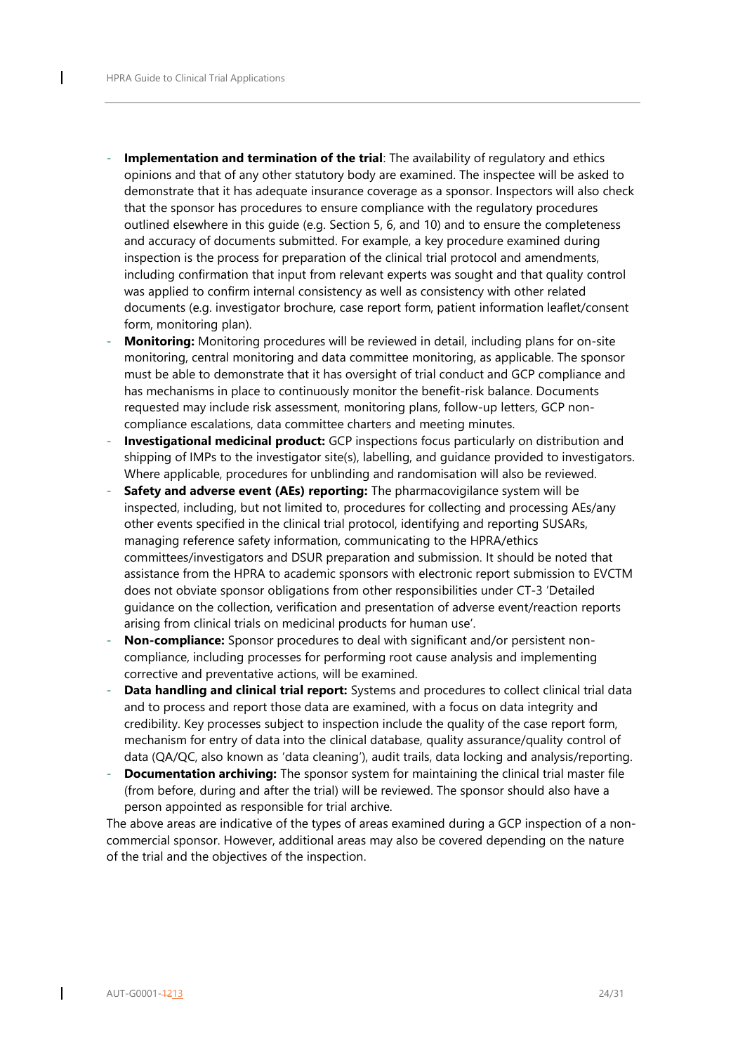- Implementation and termination of the trial: The availability of regulatory and ethics opinions and that of any other statutory body are examined. The inspectee will be asked to demonstrate that it has adequate insurance coverage as a sponsor. Inspectors will also check that the sponsor has procedures to ensure compliance with the regulatory procedures outlined elsewhere in this guide (e.g. Section 5, 6, and 10) and to ensure the completeness and accuracy of documents submitted. For example, a key procedure examined during inspection is the process for preparation of the clinical trial protocol and amendments, including confirmation that input from relevant experts was sought and that quality control was applied to confirm internal consistency as well as consistency with other related documents (e.g. investigator brochure, case report form, patient information leaflet/consent form, monitoring plan).
- **Monitoring:** Monitoring procedures will be reviewed in detail, including plans for on-site monitoring, central monitoring and data committee monitoring, as applicable. The sponsor must be able to demonstrate that it has oversight of trial conduct and GCP compliance and has mechanisms in place to continuously monitor the benefit-risk balance. Documents requested may include risk assessment, monitoring plans, follow-up letters, GCP noncompliance escalations, data committee charters and meeting minutes.
- **Investigational medicinal product:** GCP inspections focus particularly on distribution and shipping of IMPs to the investigator site(s), labelling, and guidance provided to investigators. Where applicable, procedures for unblinding and randomisation will also be reviewed.
- **Safety and adverse event (AEs) reporting:** The pharmacovigilance system will be inspected, including, but not limited to, procedures for collecting and processing AEs/any other events specified in the clinical trial protocol, identifying and reporting SUSARs, managing reference safety information, communicating to the HPRA/ethics committees/investigators and DSUR preparation and submission. It should be noted that assistance from the HPRA to academic sponsors with electronic report submission to EVCTM does not obviate sponsor obligations from other responsibilities under CT-3 'Detailed guidance on the collection, verification and presentation of adverse event/reaction reports arising from clinical trials on medicinal products for human use'.
- **Non-compliance:** Sponsor procedures to deal with significant and/or persistent noncompliance, including processes for performing root cause analysis and implementing corrective and preventative actions, will be examined.
- Data handling and clinical trial report: Systems and procedures to collect clinical trial data and to process and report those data are examined, with a focus on data integrity and credibility. Key processes subject to inspection include the quality of the case report form, mechanism for entry of data into the clinical database, quality assurance/quality control of data (QA/QC, also known as 'data cleaning'), audit trails, data locking and analysis/reporting.
- **Documentation archiving:** The sponsor system for maintaining the clinical trial master file (from before, during and after the trial) will be reviewed. The sponsor should also have a person appointed as responsible for trial archive.

The above areas are indicative of the types of areas examined during a GCP inspection of a noncommercial sponsor. However, additional areas may also be covered depending on the nature of the trial and the objectives of the inspection.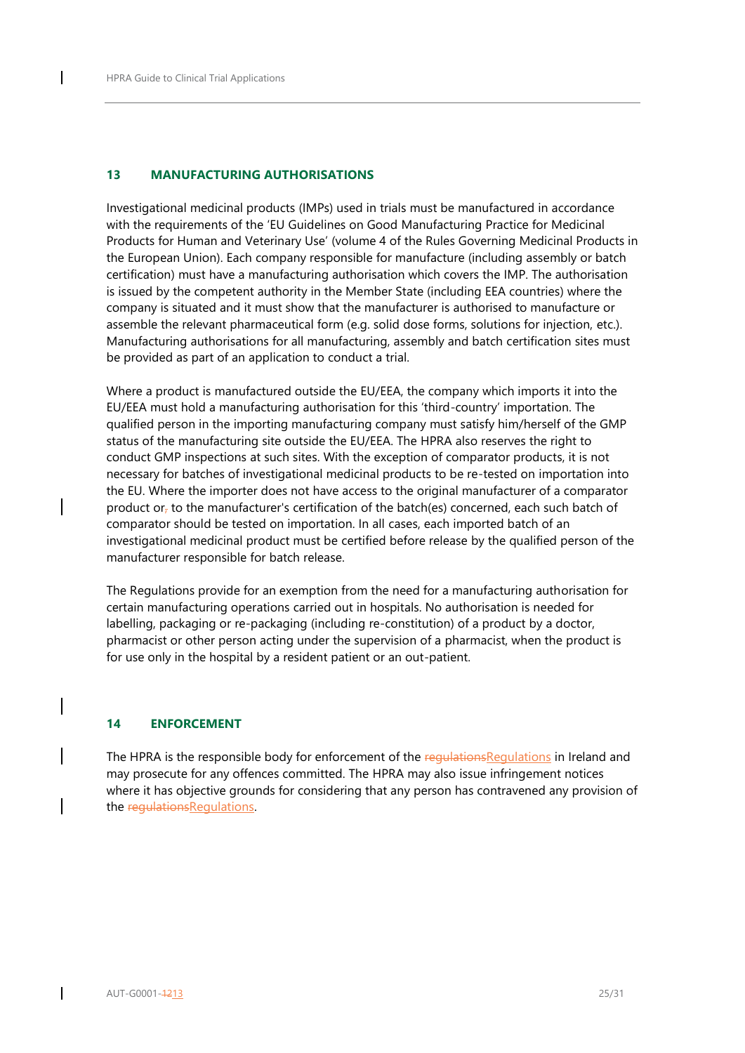## <span id="page-24-0"></span>**13 MANUFACTURING AUTHORISATIONS**

Investigational medicinal products (IMPs) used in trials must be manufactured in accordance with the requirements of the 'EU Guidelines on Good Manufacturing Practice for Medicinal Products for Human and Veterinary Use' (volume 4 of the Rules Governing Medicinal Products in the European Union). Each company responsible for manufacture (including assembly or batch certification) must have a manufacturing authorisation which covers the IMP. The authorisation is issued by the competent authority in the Member State (including EEA countries) where the company is situated and it must show that the manufacturer is authorised to manufacture or assemble the relevant pharmaceutical form (e.g. solid dose forms, solutions for injection, etc.). Manufacturing authorisations for all manufacturing, assembly and batch certification sites must be provided as part of an application to conduct a trial.

Where a product is manufactured outside the EU/EEA, the company which imports it into the EU/EEA must hold a manufacturing authorisation for this 'third-country' importation. The qualified person in the importing manufacturing company must satisfy him/herself of the GMP status of the manufacturing site outside the EU/EEA. The HPRA also reserves the right to conduct GMP inspections at such sites. With the exception of comparator products, it is not necessary for batches of investigational medicinal products to be re-tested on importation into the EU. Where the importer does not have access to the original manufacturer of a comparator product or, to the manufacturer's certification of the batch(es) concerned, each such batch of comparator should be tested on importation. In all cases, each imported batch of an investigational medicinal product must be certified before release by the qualified person of the manufacturer responsible for batch release.

The Regulations provide for an exemption from the need for a manufacturing authorisation for certain manufacturing operations carried out in hospitals. No authorisation is needed for labelling, packaging or re-packaging (including re-constitution) of a product by a doctor, pharmacist or other person acting under the supervision of a pharmacist, when the product is for use only in the hospital by a resident patient or an out-patient.

#### <span id="page-24-1"></span>**14 ENFORCEMENT**

The HPRA is the responsible body for enforcement of the regulations Regulations in Ireland and may prosecute for any offences committed. The HPRA may also issue infringement notices where it has objective grounds for considering that any person has contravened any provision of the regulationsRegulations.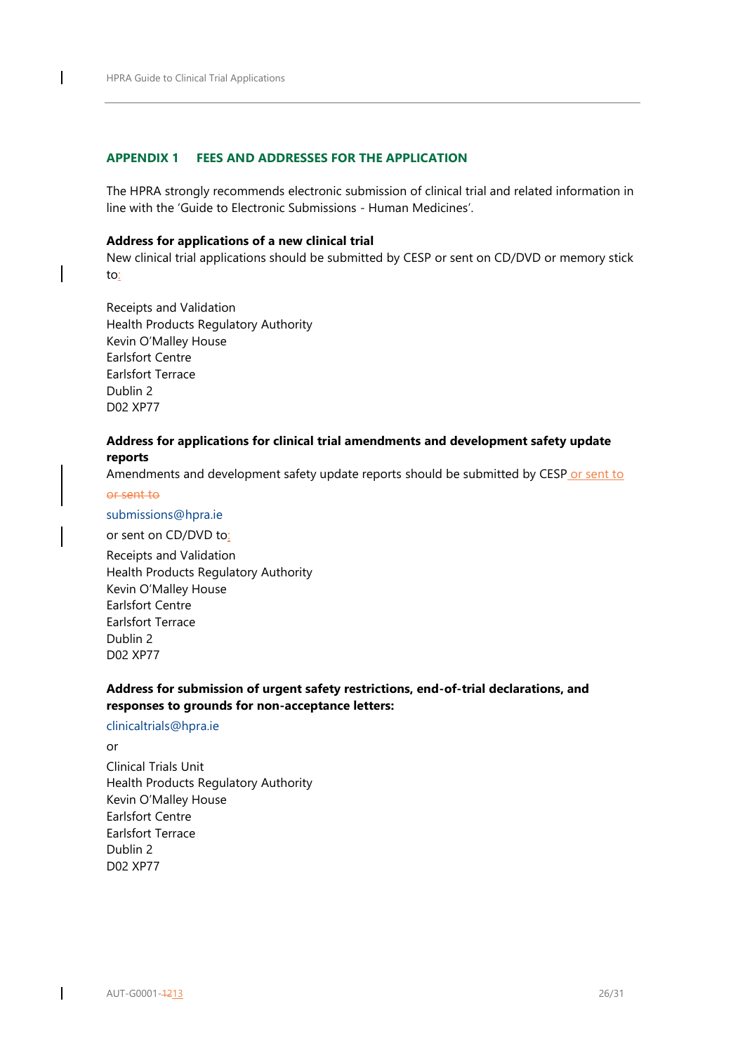#### <span id="page-25-0"></span>**APPENDIX 1 FEES AND ADDRESSES FOR THE APPLICATION**

The HPRA strongly recommends electronic submission of clinical trial and related information in line with the 'Guide to Electronic Submissions - Human Medicines'.

#### **Address for applications of a new clinical trial**

New clinical trial applications should be submitted by CESP or sent on CD/DVD or memory stick to:

Receipts and Validation Health Products Regulatory Authority Kevin O'Malley House Earlsfort Centre Earlsfort Terrace Dublin 2 D02 XP77

#### **Address for applications for clinical trial amendments and development safety update reports**

Amendments and development safety update reports should be submitted by CESP or sent to

#### or sent to

#### [submissions@hpra.ie](mailto:submissions@hpra.ie)

or sent on CD/DVD to: Receipts and Validation Health Products Regulatory Authority Kevin O'Malley House Earlsfort Centre Earlsfort Terrace Dublin 2 D02 XP77

#### **Address for submission of urgent safety restrictions, end-of-trial declarations, and responses to grounds for non-acceptance letters:**

#### [clinicaltrials@hpra.ie](mailto:clinicaltrials@hpra.ie)

or

Clinical Trials Unit Health Products Regulatory Authority Kevin O'Malley House Earlsfort Centre Earlsfort Terrace Dublin 2 D02 XP77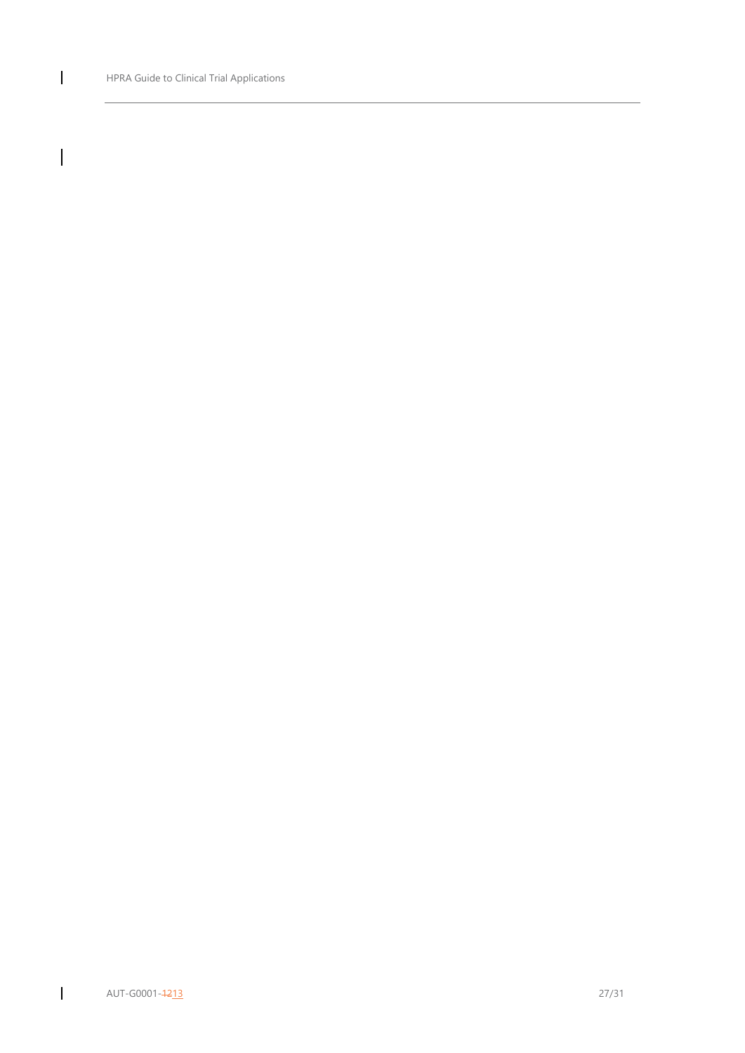$\overline{\phantom{a}}$ 

 $\overline{\phantom{a}}$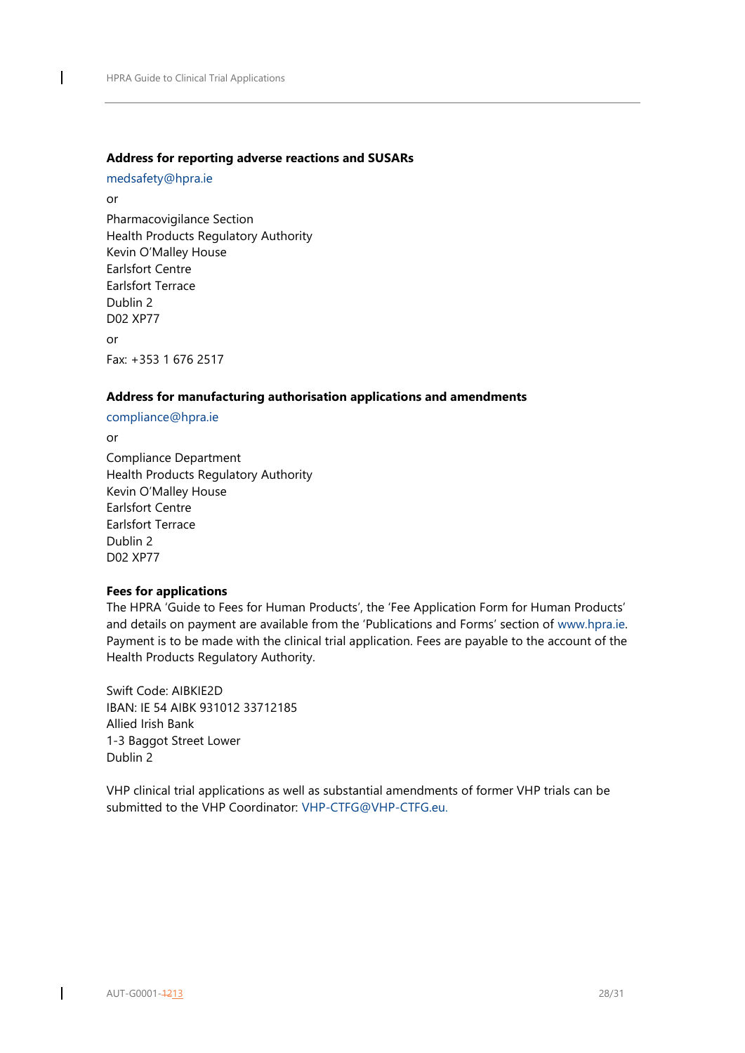#### **Address for reporting adverse reactions and SUSARs**

[medsafety@hpra.ie](mailto:medsafety@hpra.ie)

or Pharmacovigilance Section Health Products Regulatory Authority Kevin O'Malley House Earlsfort Centre Earlsfort Terrace Dublin 2 D02 XP77 or Fax: +353 1 676 2517

#### **Address for manufacturing authorisation applications and amendments**

[compliance@hpra.ie](mailto:compliance@hpra.ie)

or Compliance Department Health Products Regulatory Authority Kevin O'Malley House Earlsfort Centre Earlsfort Terrace Dublin 2 D02 XP77

#### **Fees for applications**

The HPRA 'Guide to Fees for Human Products', the 'Fee Application Form for Human Products' and details on payment are available from the 'Publications and Forms' section of [www.hpra.ie.](http://www.hpra.ie/) Payment is to be made with the clinical trial application. Fees are payable to the account of the Health Products Regulatory Authority.

Swift Code: AIBKIE2D IBAN: IE 54 AIBK 931012 33712185 Allied Irish Bank 1-3 Baggot Street Lower Dublin 2

VHP clinical trial applications as well as substantial amendments of former VHP trials can be submitted to the VHP Coordinator: [VHP-CTFG@VHP-CTFG.eu.](file:///C:/Users/heijsh/AppData/Local/Microsoft/Windows/Temporary%20Internet%20Files/Content.Outlook/DU8WZAZJ/VHP-CTFG@VHP-CTFG.eu)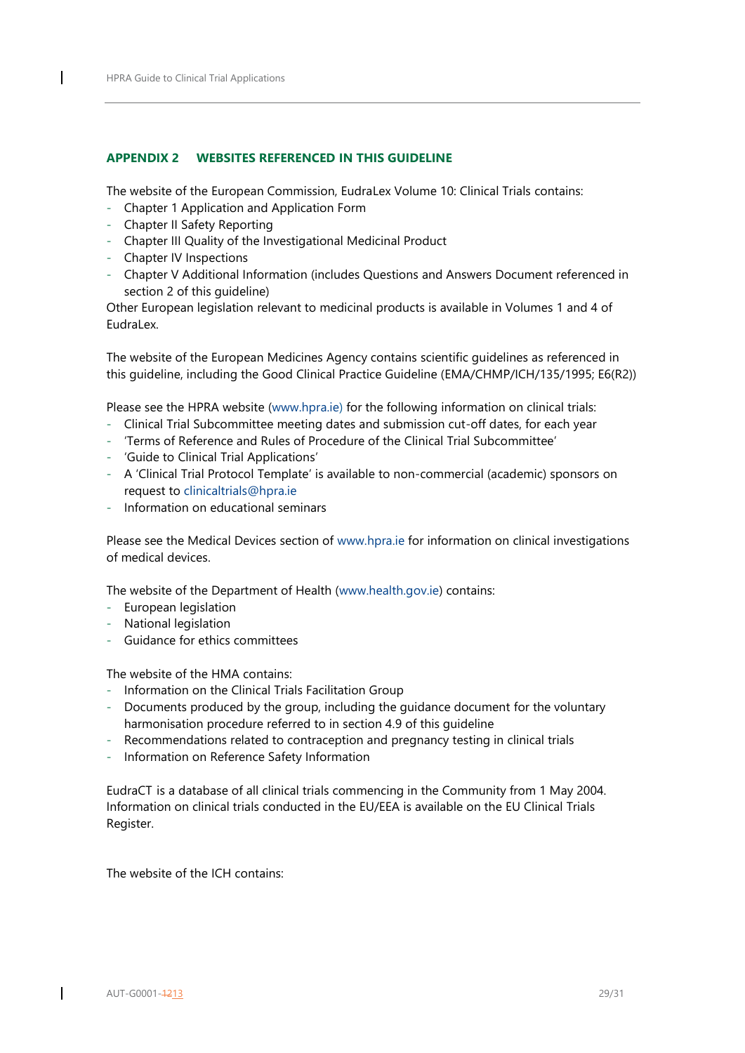## <span id="page-28-0"></span>**APPENDIX 2 WEBSITES REFERENCED IN THIS GUIDELINE**

The website of the European Commission, EudraLex Volume 10: Clinical Trials contains:

- Chapter 1 Application and Application Form
- Chapter II Safety Reporting
- Chapter III Quality of the Investigational Medicinal Product
- Chapter IV Inspections
- Chapter V Additional Information (includes Questions and Answers Document referenced in section 2 of this guideline)

Other European legislation relevant to medicinal products is available in Volumes 1 and 4 of EudraLex.

The website of the European Medicines Agency contains scientific guidelines as referenced in this guideline, including the Good Clinical Practice Guideline (EMA/CHMP/ICH/135/1995; E6(R2))

Please see the HPRA website [\(www.hpra.ie\)](http://www.hpra.ie/) for the following information on clinical trials:

- Clinical Trial Subcommittee meeting dates and submission cut-off dates, for each year
- 'Terms of Reference and Rules of Procedure of the Clinical Trial Subcommittee'
- 'Guide to Clinical Trial Applications'
- A 'Clinical Trial Protocol Template' is available to non-commercial (academic) sponsors on request to [clinicaltrials@hpra.ie](mailto:clinicaltrials@hpra.ie)
- Information on educational seminars

Please see the Medical Devices section of [www.hpra.ie](http://www.hpra.ie/) for information on clinical investigations of medical devices.

The website of the Department of Health [\(www.health.gov.ie\)](http://www.health.gov.ie/) contains:

- European legislation
- National legislation
- Guidance for ethics committees

The website of the HMA contains:

- Information on the Clinical Trials Facilitation Group
- Documents produced by the group, including the guidance document for the voluntary harmonisation procedure referred to in section 4.9 of this guideline
- Recommendations related to contraception and pregnancy testing in clinical trials
- Information on Reference Safety Information

EudraCT is a database of all clinical trials commencing in the Community from 1 May 2004. Information on clinical trials conducted in the EU/EEA is available on the EU Clinical Trials Register.

The website of the ICH contains: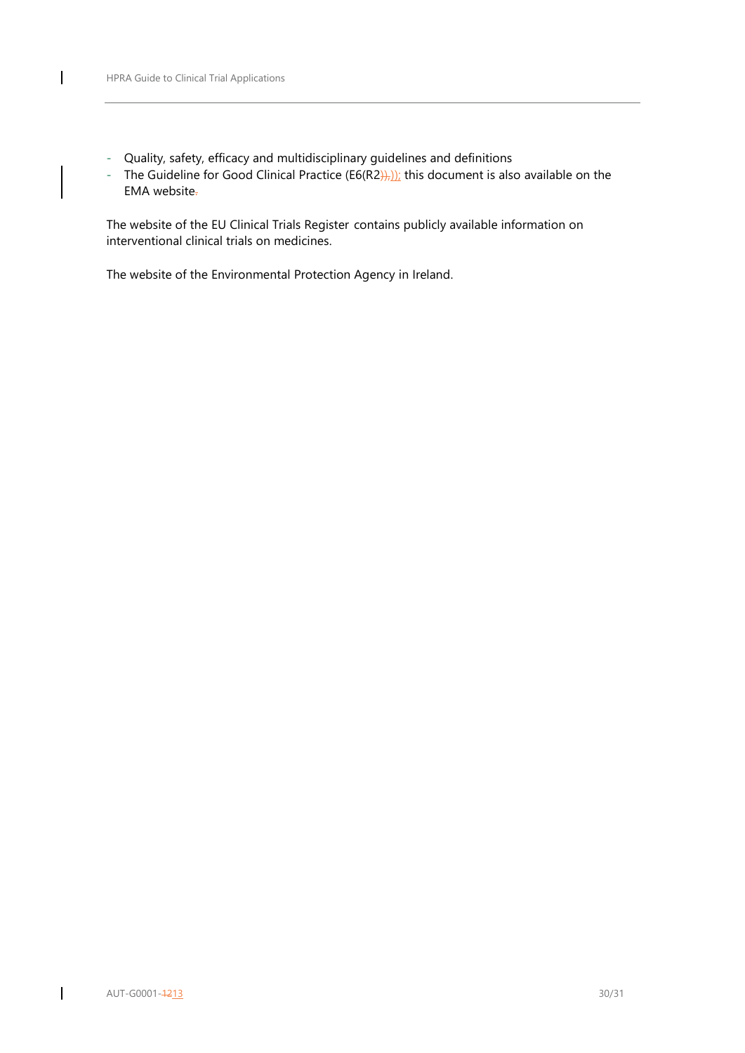$\mathbf{I}$ 

- Quality, safety, efficacy and multidisciplinary guidelines and definitions
- The Guideline for Good Clinical Practice (E6(R2)), this document is also available on the EMA website.

The website of the EU Clinical Trials Register contains publicly available information on interventional clinical trials on medicines.

The website of the Environmental Protection Agency in Ireland.